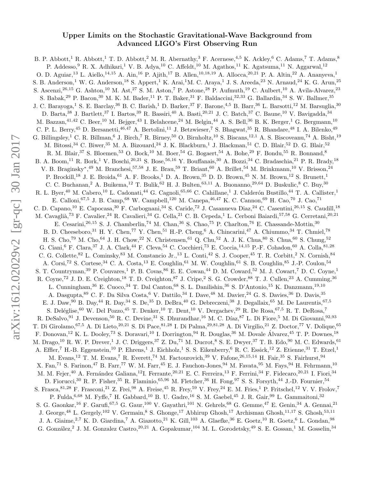## Upper Limits on the Stochastic Gravitational-Wave Background from Advanced LIGO's First Observing Run

B. P. Abbott,<sup>1</sup> R. Abbott,<sup>1</sup> T. D. Abbott,<sup>2</sup> M. R. Abernathy,<sup>3</sup> F. Acernese,<sup>4,5</sup> K. Ackley,<sup>6</sup> C. Adams,<sup>7</sup> T. Adams,<sup>8</sup> P. Addesso, <sup>9</sup> R. X. Adhikari,<sup>1</sup> V. B. Adya,<sup>10</sup> C. Affeldt,<sup>10</sup> M. Agathos,<sup>11</sup> K. Agatsuma,<sup>11</sup> N. Aggarwal,<sup>12</sup> O. D. Aguiar,<sup>13</sup> L. Aiello,<sup>14,15</sup> A. Ain,<sup>16</sup> P. Ajith,<sup>17</sup> B. Allen,<sup>10,18,19</sup> A. Allocca,<sup>20,21</sup> P. A. Altin,<sup>22</sup> A. Ananyeva,<sup>1</sup> S. B. Anderson,<sup>1</sup> W. G. Anderson,<sup>18</sup> S. Appert,<sup>1</sup> K. Arai,<sup>1</sup>M. C. Araya,<sup>1</sup> J. S. Areeda,<sup>23</sup> N. Arnaud,<sup>24</sup> K. G. Arun,<sup>25</sup> S. Ascenzi,<sup>26,15</sup> G. Ashton,<sup>10</sup> M. Ast,<sup>27</sup> S. M. Aston,<sup>7</sup> P. Astone,<sup>28</sup> P. Aufmuth,<sup>19</sup> C. Aulbert,<sup>10</sup> A. Avila-Alvarez,<sup>23</sup> S. Babak,<sup>29</sup> P. Bacon,<sup>30</sup> M. K. M. Bader,<sup>11</sup> P. T. Baker,<sup>31</sup> F. Baldaccini,<sup>32,33</sup> G. Ballardin,<sup>34</sup> S. W. Ballmer,<sup>35</sup> J. C. Barayoga,<sup>1</sup> S. E. Barclay,<sup>36</sup> B. C. Barish,<sup>1</sup> D. Barker,<sup>37</sup> F. Barone,<sup>4,5</sup> B. Barr,<sup>36</sup> L. Barsotti,<sup>12</sup> M. Barsuglia,<sup>30</sup> D. Barta,<sup>38</sup> J. Bartlett,<sup>37</sup> I. Bartos,<sup>39</sup> R. Bassiri,<sup>40</sup> A. Basti,<sup>20,21</sup> J. C. Batch,<sup>37</sup> C. Baune,<sup>10</sup> V. Bavigadda,<sup>34</sup> M. Bazzan, <sup>41,42</sup> C. Beer, <sup>10</sup> M. Bejger, <sup>43</sup> I. Belahcene, <sup>24</sup> M. Belgin, <sup>44</sup> A. S. Bell, <sup>36</sup> B. K. Berger, <sup>1</sup> G. Bergmann, <sup>10</sup> C. P. L. Berry,<sup>45</sup> D. Bersanetti,<sup>46,47</sup> A. Bertolini,<sup>11</sup> J. Betzwieser,<sup>7</sup> S. Bhagwat,<sup>35</sup> R. Bhandare,<sup>48</sup> I. A. Bilenko,<sup>49</sup> G. Billingsley,<sup>1</sup> C. R. Billman,<sup>6</sup> J. Birch,<sup>7</sup> R. Birney,<sup>50</sup> O. Birnholtz,<sup>10</sup> S. Biscans,<sup>12,1</sup> A. S. Biscoveanu,<sup>74</sup> A. Bisht,<sup>19</sup> M. Bitossi,<sup>34</sup> C. Biwer,<sup>35</sup> M. A. Bizouard,<sup>24</sup> J. K. Blackburn,<sup>1</sup> J. Blackman,<sup>51</sup> C. D. Blair,<sup>52</sup> D. G. Blair,<sup>52</sup> R. M. Blair,<sup>37</sup> S. Bloemen,<sup>53</sup> O. Bock,<sup>10</sup> M. Boer,<sup>54</sup> G. Bogaert,<sup>54</sup> A. Bohe,<sup>29</sup> F. Bondu,<sup>55</sup> R. Bonnand,<sup>8</sup> B. A. Boom,<sup>11</sup> R. Bork,<sup>1</sup> V. Boschi,<sup>20,21</sup> S. Bose,<sup>56,16</sup> Y. Bouffanais,<sup>30</sup> A. Bozzi,<sup>34</sup> C. Bradaschia,<sup>21</sup> P. R. Brady,<sup>18</sup> V. B. Braginsky<sup>∗</sup>,<sup>49</sup> M. Branchesi,<sup>57,58</sup> J. E. Brau,<sup>59</sup> T. Briant,<sup>60</sup> A. Brillet,<sup>54</sup> M. Brinkmann,<sup>10</sup> V. Brisson,<sup>24</sup> P. Brockill,<sup>18</sup> J. E. Broida,<sup>61</sup> A. F. Brooks,<sup>1</sup> D. A. Brown,<sup>35</sup> D. D. Brown,<sup>45</sup> N. M. Brown,<sup>12</sup> S. Brunett,<sup>1</sup> C. C. Buchanan, <sup>2</sup> A. Buikema, <sup>12</sup> T. Bulik, <sup>62</sup> H. J. Bulten, <sup>63,11</sup> A. Buonanno, <sup>29,64</sup> D. Buskulic, <sup>8</sup> C. Buy, <sup>30</sup> R. L. Byer,<sup>40</sup> M. Cabero,<sup>10</sup> L. Cadonati,<sup>44</sup> G. Cagnoli,<sup>65,66</sup> C. Cahillane,<sup>1</sup> J. Calderón Bustillo,<sup>44</sup> T. A. Callister,<sup>1</sup> E. Calloni,<sup>67,5</sup> J. B. Camp,<sup>68</sup> W. Campbell,<sup>120</sup> M. Canepa,<sup>46,47</sup> K. C. Cannon,<sup>69</sup> H. Cao,<sup>70</sup> J. Cao,<sup>71</sup> C. D. Capano,<sup>10</sup> E. Capocasa,<sup>30</sup> F. Carbognani,<sup>34</sup> S. Caride,<sup>72</sup> J. Casanueva Diaz,<sup>24</sup> C. Casentini,26,<sup>15</sup> S. Caudill,<sup>18</sup> M. Cavaglià,<sup>73</sup> F. Cavalier,<sup>24</sup> R. Cavalieri,<sup>34</sup> G. Cella,<sup>21</sup> C. B. Cepeda,<sup>1</sup> L. Cerboni Baiardi,<sup>57,58</sup> G. Cerretani,<sup>20,21</sup> E. Cesarini,<sup>26,15</sup> S. J. Chamberlin,<sup>74</sup> M. Chan,<sup>36</sup> S. Chao,<sup>75</sup> P. Charlton,<sup>76</sup> E. Chassande-Mottin,<sup>30</sup> B. D. Cheeseboro,<sup>31</sup> H. Y. Chen,<sup>77</sup> Y. Chen,<sup>51</sup> H.-P. Cheng,<sup>6</sup> A. Chincarini,<sup>47</sup> A. Chiummo,<sup>34</sup> T. Chmiel,<sup>78</sup> H. S. Cho,<sup>79</sup> M. Cho,<sup>64</sup> J. H. Chow,<sup>22</sup> N. Christensen,<sup>61</sup> Q. Chu,<sup>52</sup> A. J. K. Chua,<sup>80</sup> S. Chung,<sup>52</sup> G. Ciani,<sup>6</sup> F. Clara,<sup>37</sup> J. A. Clark,<sup>44</sup> F. Cleva,<sup>54</sup> C. Cocchieri,<sup>73</sup> E. Coccia,<sup>14,15</sup> P.-F. Cohadon,<sup>60</sup> A. Colla,<sup>81,28</sup> C. G. Collette, <sup>82</sup> L. Cominsky, <sup>83</sup> M. Constancio Jr., <sup>13</sup> L. Conti, <sup>42</sup> S. J. Cooper, <sup>45</sup> T. R. Corbitt, <sup>2</sup> N. Cornish, <sup>84</sup> A. Corsi,<sup>72</sup> S. Cortese,<sup>34</sup> C. A. Costa,<sup>13</sup> E. Coughlin,<sup>61</sup> M. W. Coughlin,<sup>61</sup> S. B. Coughlin,<sup>85</sup> J.-P. Coulon,<sup>54</sup> S. T. Countryman,<sup>39</sup> P. Couvares,<sup>1</sup> P. B. Covas,<sup>86</sup> E. E. Cowan,<sup>44</sup> D. M. Coward,<sup>52</sup> M. J. Cowart,<sup>7</sup> D. C. Coyne,<sup>1</sup> R. Coyne,<sup>72</sup> J. D. E. Creighton,<sup>18</sup> T. D. Creighton,<sup>87</sup> J. Cripe,<sup>2</sup> S. G. Crowder,<sup>88</sup> T. J. Cullen,<sup>23</sup> A. Cumming,<sup>36</sup> L. Cunningham,<sup>36</sup> E. Cuoco,<sup>34</sup> T. Dal Canton,<sup>68</sup> S. L. Danilishin,<sup>36</sup> S. D'Antonio,<sup>15</sup> K. Danzmann,<sup>19,10</sup> A. Dasgupta, <sup>89</sup> C. F. Da Silva Costa,<sup>6</sup> V. Dattilo, <sup>34</sup> I. Dave, <sup>48</sup> M. Davier, <sup>24</sup> G. S. Davies, <sup>36</sup> D. Davis, <sup>35</sup> E. J. Daw, <sup>90</sup> B. Day, <sup>44</sup> R. Day, <sup>34</sup> S. De, <sup>35</sup> D. DeBra, <sup>40</sup> G. Debreczeni, <sup>38</sup> J. Degallaix, <sup>65</sup> M. De Laurentis, <sup>67, 5</sup> S. Deléglise,<sup>60</sup> W. Del Pozzo,<sup>45</sup> T. Denker,<sup>10</sup> T. Dent,<sup>10</sup> V. Dergachev,<sup>29</sup> R. De Rosa,<sup>67,5</sup> R. T. DeRosa,<sup>7</sup> R. DeSalvo, <sup>91</sup> J. Devenson, <sup>50</sup> R. C. Devine, <sup>31</sup> S. Dhurandhar, <sup>16</sup> M. C. Díaz, <sup>87</sup> L. Di Fiore, <sup>5</sup> M. Di Giovanni, <sup>92, 93</sup> T. Di Girolamo,  $67,5$  A. Di Lieto,  $20,21$  S. Di Pace,  $81,28$  I. Di Palma,  $29,81,28$  A. Di Virgilio,  $21$  Z. Doctor,  $77$  V. Dolique,  $65$ F. Donovan,<sup>12</sup> K. L. Dooley,<sup>73</sup> S. Doravari,<sup>10</sup> I. Dorrington,<sup>94</sup> R. Douglas,<sup>36</sup> M. Dovale Álvarez,<sup>45</sup> T. P. Downes,<sup>18</sup> M. Drago,<sup>10</sup> R. W. P. Drever,<sup>1</sup> J. C. Driggers,<sup>37</sup> Z. Du,<sup>71</sup> M. Ducrot,<sup>8</sup> S. E. Dwyer,<sup>37</sup> T. B. Edo,<sup>90</sup> M. C. Edwards,<sup>61</sup> A. Effler,<sup>7</sup> H.-B. Eggenstein,<sup>10</sup> P. Ehrens,<sup>1</sup> J. Eichholz,<sup>1</sup> S. S. Eikenberry,<sup>6</sup> R. C. Essick,<sup>12</sup> Z. Etienne,<sup>31</sup> T. Etzel,<sup>1</sup> M. Evans,<sup>12</sup> T. M. Evans,<sup>7</sup> R. Everett,<sup>74</sup> M. Factourovich,<sup>39</sup> V. Fafone,<sup>26,15,14</sup> H. Fair,<sup>35</sup> S. Fairhurst,<sup>94</sup> X. Fan,<sup>71</sup> S. Farinon,<sup>47</sup> B. Farr,<sup>77</sup> W. M. Farr,<sup>45</sup> E. J. Fauchon-Jones,<sup>94</sup> M. Favata,<sup>95</sup> M. Fays,<sup>94</sup> H. Fehrmann,<sup>10</sup> M. M. Fejer,<sup>40</sup> A. Fernández Galiana,<sup>12</sup>I. Ferrante,<sup>20,21</sup> E. C. Ferreira,<sup>13</sup> F. Ferrini,<sup>34</sup> F. Fidecaro,<sup>20,21</sup> I. Fiori,<sup>34</sup> D. Fiorucci,<sup>30</sup> R. P. Fisher,<sup>35</sup> R. Flaminio,<sup>65,96</sup> M. Fletcher,<sup>36</sup> H. Fong,<sup>97</sup> S. S. Forsyth,<sup>44</sup> J.-D. Fournier,<sup>54</sup> S. Frasca,  $81,28$  F. Frasconi,  $21$  Z. Frei,  $98$  A. Freise,  $45$  R. Frey,  $59$  V. Frey,  $24$  E. M. Fries,  $1$  P. Fritschel,  $12$  V. V. Frolov,  $7$ P. Fulda,  $6,68$  M. Fyffe, <sup>7</sup> H. Gabbard, <sup>10</sup> B. U. Gadre, <sup>16</sup> S. M. Gaebel, <sup>45</sup> J. R. Gair, <sup>99</sup> L. Gammaitoni, <sup>32</sup> S. G. Gaonkar,<sup>16</sup> F. Garufi,<sup>67</sup>,<sup>5</sup> G. Gaur,<sup>100</sup> V. Gayathri,<sup>101</sup> N. Gehrels,<sup>68</sup> G. Gemme,<sup>47</sup> E. Genin,<sup>34</sup> A. Gennai,<sup>21</sup> J. George,<sup>48</sup> L. Gergely,<sup>102</sup> V. Germain,<sup>8</sup> S. Ghonge,<sup>17</sup> Abhirup Ghosh,<sup>17</sup> Archisman Ghosh,<sup>11,17</sup> S. Ghosh,<sup>53,11</sup> J. A. Giaime,<sup>2,7</sup> K. D. Giardina,<sup>7</sup> A. Giazotto,<sup>21</sup> K. Gill,<sup>103</sup> A. Glaefke,<sup>36</sup> E. Goetz,<sup>10</sup> R. Goetz,<sup>6</sup> L. Gondan,<sup>98</sup> G. González, <sup>2</sup> J. M. Gonzalez Castro,<sup>20,21</sup> A. Gopakumar,<sup>104</sup> M. L. Gorodetsky,<sup>49</sup> S. E. Gossan,<sup>1</sup> M. Gosselin,<sup>34</sup>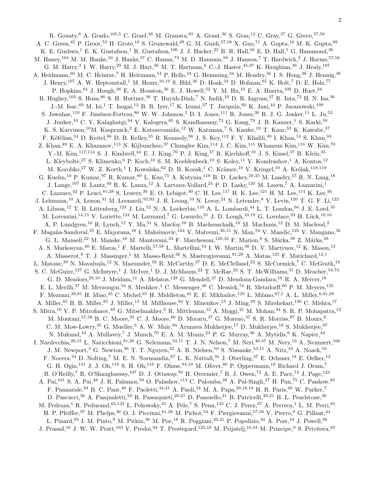R. Gouaty, <sup>8</sup> A. Grado, <sup>105,5</sup> C. Graef, <sup>36</sup> M. Granata, <sup>65</sup> A. Grant, <sup>36</sup> S. Gras, <sup>12</sup> C. Gray, <sup>37</sup> G. Greco, <sup>57, 58</sup> A. C. Green,<sup>45</sup> P. Groot,<sup>53</sup> H. Grote,<sup>10</sup> S. Grunewald,<sup>29</sup> G. M. Guidi,<sup>57,58</sup> X. Guo,<sup>71</sup> A. Gupta,<sup>16</sup> M. K. Gupta,<sup>89</sup> K. E. Gushwa,<sup>1</sup> E. K. Gustafson,<sup>1</sup> R. Gustafson,<sup>106</sup> J. J. Hacker,<sup>23</sup> B. R. Hall,<sup>56</sup> E. D. Hall,<sup>1</sup> G. Hammond,<sup>36</sup> M. Haney,<sup>104</sup> M. M. Hanke,<sup>10</sup> J. Hanks,<sup>37</sup> C. Hanna,<sup>74</sup> M. D. Hannam,<sup>94</sup> J. Hanson,<sup>7</sup> T. Hardwick,<sup>2</sup> J. Harms,<sup>57,58</sup> G. M. Harry,<sup>3</sup> I. W. Harry,<sup>29</sup> M. J. Hart,<sup>36</sup> M. T. Hartman,<sup>6</sup> C.-J. Haster,<sup>45,97</sup> K. Haughian,<sup>36</sup> J. Healy,<sup>107</sup> A. Heidmann,<sup>60</sup> M. C. Heintze,<sup>7</sup> H. Heitmann,<sup>54</sup> P. Hello,<sup>24</sup> G. Hemming,<sup>34</sup> M. Hendry,<sup>36</sup> I. S. Heng,<sup>36</sup> J. Hennig,<sup>36</sup> J. Henry,<sup>107</sup> A. W. Heptonstall,<sup>1</sup> M. Heurs,<sup>10,19</sup> S. Hild,<sup>36</sup> D. Hoak,<sup>34</sup> D. Hofman,<sup>65</sup> K. Holt,<sup>7</sup> D. E. Holz,<sup>77</sup> P. Hopkins, <sup>94</sup> J. Hough, <sup>36</sup> E. A. Houston, <sup>36</sup> E. J. Howell, <sup>52</sup> Y. M. Hu, <sup>10</sup> E. A. Huerta, <sup>108</sup> D. Huet, <sup>24</sup> B. Hughey,<sup>103</sup> S. Husa,<sup>86</sup> S. H. Huttner,<sup>36</sup> T. Huynh-Dinh,<sup>7</sup> N. Indik,<sup>10</sup> D. R. Ingram,<sup>37</sup> R. Inta,<sup>72</sup> H. N. Isa,<sup>36</sup> J.-M. Isac, <sup>60</sup> M. Isi,<sup>1</sup> T. Isogai,<sup>12</sup> B. R. Iyer,<sup>17</sup> K. Izumi,<sup>37</sup> T. Jacqmin,<sup>60</sup> K. Jani,<sup>44</sup> P. Jaranowski,<sup>109</sup> S. Jawahar,<sup>110</sup> F. Jiménez-Forteza,<sup>86</sup> W. W. Johnson,<sup>2</sup> D. I. Jones,<sup>111</sup> R. Jones,<sup>36</sup> R. J. G. Jonker,<sup>11</sup> L. Ju,<sup>52</sup> J. Junker,<sup>10</sup> C. V. Kalaghatgi,<sup>94</sup> V. Kalogera,<sup>85</sup> S. Kandhasamy,<sup>73</sup> G. Kang,<sup>79</sup> J. B. Kanner,<sup>1</sup> S. Karki,<sup>59</sup> K. S. Karvinen,<sup>10</sup>M. Kasprzack,<sup>2</sup> E. Katsavounidis,<sup>12</sup> W. Katzman,<sup>7</sup> S. Kaufer,<sup>19</sup> T. Kaur,<sup>52</sup> K. Kawabe,<sup>37</sup> F. Kéfélian,<sup>54</sup> D. Keitel,<sup>86</sup> D. B. Kelley,<sup>35</sup> R. Kennedy,<sup>90</sup> J. S. Key,<sup>112</sup> F. Y. Khalili,<sup>49</sup> I. Khan,<sup>14</sup> S. Khan,<sup>94</sup> Z. Khan,  $89$  E. A. Khazanov,  $^{113}$  N. Kijbunchoo,  $37$  Chunglee Kim,  $^{114}$  J. C. Kim,  $^{115}$  Whansun Kim,  $^{116}$  W. Kim,  $^{70}$ Y.-M. Kim,<sup>117,114</sup> S. J. Kimbrell,<sup>44</sup> E. J. King,<sup>70</sup> P. J. King,<sup>37</sup> R. Kirchhoff,<sup>10</sup> J. S. Kissel,<sup>37</sup> B. Klein,<sup>85</sup> L. Kleybolte,<sup>27</sup> S. Klimenko,<sup>6</sup> P. Koch,<sup>10</sup> S. M. Koehlenbeck,<sup>10</sup> S. Koley,<sup>11</sup> V. Kondrashov,<sup>1</sup> A. Kontos,<sup>12</sup> M. Korobko,<sup>27</sup> W. Z. Korth,<sup>1</sup> I. Kowalska,<sup>62</sup> D. B. Kozak,<sup>1</sup> C. Krämer,<sup>10</sup> V. Kringel,<sup>10</sup> A. Królak,<sup>118,119</sup> G. Kuehn,<sup>10</sup> P. Kumar,<sup>97</sup> R. Kumar,<sup>89</sup> L. Kuo,<sup>75</sup> A. Kutynia,<sup>118</sup> B. D. Lackey,<sup>29,35</sup> M. Landry,<sup>37</sup> R. N. Lang,<sup>18</sup> J. Lange,<sup>107</sup> B. Lantz,<sup>40</sup> R. K. Lanza,<sup>12</sup> A. Lartaux-Vollard,<sup>24</sup> P. D. Lasky,<sup>120</sup> M. Laxen,<sup>7</sup> A. Lazzarini,<sup>1</sup> C. Lazzaro,<sup>42</sup> P. Leaci,<sup>81,28</sup> S. Leavey,<sup>36</sup> E. O. Lebigot,<sup>30</sup> C. H. Lee,<sup>117</sup> H. K. Lee,<sup>121</sup> H. M. Lee,<sup>114</sup> K. Lee,<sup>36</sup> J. Lehmann,<sup>10</sup> A. Lenon,<sup>31</sup> M. Leonardi,<sup>92,93</sup> J. R. Leong,<sup>10</sup> N. Leroy,<sup>24</sup> N. Letendre,<sup>8</sup> Y. Levin,<sup>120</sup> T. G. F. Li,<sup>122</sup> A. Libson,<sup>12</sup> T. B. Littenberg,<sup>123</sup> J. Liu,<sup>52</sup> N. A. Lockerbie,<sup>110</sup> A. L. Lombardi,<sup>44</sup> L. T. London,<sup>94</sup> J. E. Lord,<sup>35</sup> M. Lorenzini,<sup>14,15</sup> V. Loriette,<sup>124</sup> M. Lormand,<sup>7</sup> G. Losurdo,<sup>21</sup> J. D. Lough,<sup>10,19</sup> G. Lovelace,<sup>23</sup> H. Lück,<sup>19,10</sup> A. P. Lundgren,<sup>10</sup> R. Lynch,<sup>12</sup> Y. Ma,<sup>51</sup> S. Macfoy,<sup>50</sup> B. Machenschalk,<sup>10</sup> M. MacInnis,<sup>12</sup> D. M. Macleod,<sup>2</sup> F. Magaña-Sandoval, <sup>35</sup> E. Majorana, <sup>28</sup> I. Maksimovic, <sup>124</sup> V. Malvezzi, <sup>26,15</sup> N. Man, <sup>54</sup> V. Mandic, <sup>125</sup> V. Mangano, <sup>36</sup> G. L. Mansell,<sup>22</sup> M. Manske,<sup>18</sup> M. Mantovani,<sup>34</sup> F. Marchesoni,<sup>126,33</sup> F. Marion,<sup>8</sup> S. Márka,<sup>39</sup> Z. Márka,<sup>39</sup> A. S. Markosyan,<sup>40</sup> E. Maros,<sup>1</sup> F. Martelli,<sup>57,58</sup> L. Martellini,<sup>54</sup> I. W. Martin,<sup>36</sup> D. V. Martynov,<sup>12</sup> K. Mason,<sup>12</sup> A. Masserot,<sup>8</sup> T. J. Massinger,<sup>1</sup> M. Masso-Reid,<sup>36</sup> S. Mastrogiovanni,<sup>81,28</sup> A. Matas,<sup>125</sup> F. Matichard,<sup>12,1</sup> L. Matone,<sup>39</sup> N. Mavalvala,<sup>12</sup> N. Mazumder,<sup>56</sup> R. McCarthy,<sup>37</sup> D. E. McClelland,<sup>22</sup> S. McCormick,<sup>7</sup> C. McGrath,<sup>18</sup> S. C. McGuire,<sup>127</sup> G. McIntyre,<sup>1</sup> J. McIver,<sup>1</sup> D. J. McManus,<sup>22</sup> T. McRae,<sup>22</sup> S. T. McWilliams,<sup>31</sup> D. Meacher,<sup>54,74</sup> G. D. Meadors,  $29,10$  J. Meidam,  $11$  A. Melatos,  $128$  G. Mendell,  $37$  D. Mendoza-Gandara,  $10$  R. A. Mercer,  $18$ E. L. Merilh,<sup>37</sup> M. Merzougui,<sup>54</sup> S. Meshkov,<sup>1</sup> C. Messenger,<sup>36</sup> C. Messick,<sup>74</sup> R. Metzdorff,<sup>60</sup> P. M. Meyers,<sup>125</sup> F. Mezzani,28,<sup>81</sup> H. Miao,<sup>45</sup> C. Michel,<sup>65</sup> H. Middleton,<sup>45</sup> E. E. Mikhailov,<sup>129</sup> L. Milano,67,<sup>5</sup> A. L. Miller,6,81,<sup>28</sup> A. Miller,  $85$  B. B. Miller,  $85$  J. Miller,  $12$  M. Millhouse,  $84$  Y. Minenkov,  $15$  J. Ming,  $29$  S. Mirshekari,  $130$  C. Mishra,  $17$ S. Mitra,<sup>16</sup> V. P. Mitrofanov,<sup>49</sup> G. Mitselmakher,<sup>6</sup> R. Mittleman,<sup>12</sup> A. Moggi,<sup>21</sup> M. Mohan,<sup>34</sup> S. R. P. Mohapatra,<sup>12</sup> M. Montani,<sup>57,58</sup> B. C. Moore, <sup>95</sup> C. J. Moore, <sup>80</sup> D. Moraru, <sup>37</sup> G. Moreno, <sup>37</sup> S. R. Morriss, <sup>87</sup> B. Mours, <sup>8</sup> C. M. Mow-Lowry, <sup>45</sup> G. Mueller, <sup>6</sup> A. W. Muir, <sup>94</sup> Arunava Mukherjee, <sup>17</sup> D. Mukherjee, <sup>18</sup> S. Mukherjee, <sup>87</sup> N. Mukund,<sup>16</sup> A. Mullavey,<sup>7</sup> J. Munch,<sup>70</sup> E. A. M. Muniz,<sup>23</sup> P. G. Murray,<sup>36</sup> A. Mytidis,<sup>6</sup> K. Napier,<sup>44</sup> I. Nardecchia,<sup>26,15</sup> L. Naticchioni,<sup>81,28</sup> G. Nelemans,<sup>53,11</sup> T. J. N. Nelson,<sup>7</sup> M. Neri,<sup>46,47</sup> M. Nery,<sup>10</sup> A. Neunzert,<sup>106</sup> J. M. Newport,<sup>3</sup> G. Newton,<sup>36</sup> T. T. Nguyen,<sup>22</sup> A. B. Nielsen,<sup>10</sup> S. Nissanke,<sup>53,11</sup> A. Nitz,<sup>10</sup> A. Noack,<sup>10</sup> F. Nocera,<sup>34</sup> D. Nolting,<sup>7</sup> M. E. N. Normandin,<sup>87</sup> L. K. Nuttall,<sup>35</sup> J. Oberling,<sup>37</sup> E. Ochsner,<sup>18</sup> E. Oelker,<sup>12</sup> G. H. Ogin,<sup>131</sup> J. J. Oh,<sup>116</sup> S. H. Oh,<sup>116</sup> F. Ohme,<sup>94,10</sup> M. Oliver,<sup>86</sup> P. Oppermann,<sup>10</sup> Richard J. Oram,<sup>7</sup> B. O'Reilly,<sup>7</sup> R. O'Shaughnessy,<sup>107</sup> D. J. Ottaway,<sup>70</sup> H. Overmier,<sup>7</sup> B. J. Owen,<sup>72</sup> A. E. Pace,<sup>74</sup> J. Page,<sup>123</sup> A. Pai,<sup>101</sup> S. A. Pai,<sup>48</sup> J. R. Palamos,<sup>59</sup> O. Palashov,<sup>113</sup> C. Palomba,<sup>28</sup> A. Pal-Singh,<sup>27</sup> H. Pan,<sup>75</sup> C. Pankow,<sup>85</sup> F. Pannarale, <sup>94</sup> B. C. Pant, <sup>48</sup> F. Paoletti, <sup>34, 21</sup> A. Paoli, <sup>34</sup> M. A. Papa, <sup>29, 18, 10</sup> H. R. Paris, <sup>40</sup> W. Parker,<sup>7</sup> D. Pascucci,<sup>36</sup> A. Pasqualetti,<sup>34</sup> R. Passaquieti,<sup>20,21</sup> D. Passuello,<sup>21</sup> B. Patricelli,<sup>20,21</sup> B. L. Pearlstone,<sup>36</sup> M. Pedraza,<sup>1</sup> R. Pedurand,<sup>65,132</sup> L. Pekowsky,<sup>35</sup> A. Pele,<sup>7</sup> S. Penn,<sup>133</sup> C. J. Perez,<sup>37</sup> A. Perreca,<sup>1</sup> L. M. Perri,<sup>85</sup> H. P. Pfeiffer, <sup>97</sup> M. Phelps, <sup>36</sup> O. J. Piccinni, <sup>81,28</sup> M. Pichot, <sup>54</sup> F. Piergiovanni, <sup>57,58</sup> V. Pierro, <sup>9</sup> G. Pillant, <sup>34</sup> L. Pinard,<sup>65</sup> I. M. Pinto,<sup>9</sup> M. Pitkin,<sup>36</sup> M. Poe,<sup>18</sup> R. Poggiani,<sup>20,21</sup> P. Popolizio,<sup>34</sup> A. Post,<sup>10</sup> J. Powell,<sup>36</sup> J. Prasad,<sup>16</sup> J. W. W. Pratt,<sup>103</sup> V. Predoi,<sup>94</sup> T. Prestegard,<sup>125,18</sup> M. Prijatelj,<sup>10,34</sup> M. Principe,<sup>9</sup> S. Privitera,<sup>29</sup>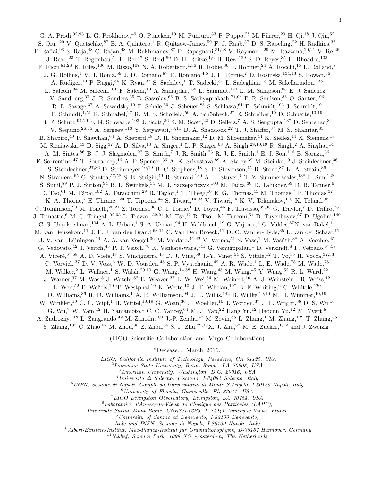G. A. Prodi,<sup>92,93</sup> L. G. Prokhorov,<sup>49</sup> O. Puncken,<sup>10</sup> M. Punturo,<sup>33</sup> P. Puppo,<sup>28</sup> M. Pürrer,<sup>29</sup> H. Qi,<sup>18</sup> J. Qin,<sup>52</sup> S. Qiu,<sup>120</sup> V. Quetschke,<sup>87</sup> E. A. Quintero,<sup>1</sup> R. Quitzow-James,<sup>59</sup> F. J. Raab,<sup>37</sup> D. S. Rabeling,<sup>22</sup> H. Radkins,<sup>37</sup> P. Raffai,<sup>98</sup> S. Raja,<sup>48</sup> C. Rajan,<sup>48</sup> M. Rakhmanov,<sup>87</sup> P. Rapagnani,<sup>81,28</sup> V. Raymond,<sup>29</sup> M. Razzano,<sup>20,21</sup> V. Re,<sup>26</sup> J. Read,<sup>23</sup> T. Regimbau,<sup>54</sup> L. Rei,<sup>47</sup> S. Reid,<sup>50</sup> D. H. Reitze,<sup>1,6</sup> H. Rew,<sup>129</sup> S. D. Reyes,<sup>35</sup> E. Rhoades,<sup>103</sup> F. Ricci, <sup>81,28</sup> K. Riles, <sup>106</sup> M. Rizzo, <sup>107</sup> N. A. Robertson, <sup>1,36</sup> R. Robie, <sup>36</sup> F. Robinet, <sup>24</sup> A. Rocchi, <sup>15</sup> L. Rolland, <sup>8</sup> J. G. Rollins,<sup>1</sup> V. J. Roma,<sup>59</sup> J. D. Romano,<sup>87</sup> R. Romano,<sup>4,5</sup> J. H. Romie,<sup>7</sup> D. Rosińska,<sup>134,43</sup> S. Rowan,<sup>36</sup> A. Rüdiger,<sup>10</sup> P. Ruggi,<sup>34</sup> K. Ryan,<sup>37</sup> S. Sachdev,<sup>1</sup> T. Sadecki,<sup>37</sup> L. Sadeghian,<sup>18</sup> M. Sakellariadou,<sup>135</sup> L. Salconi,<sup>34</sup> M. Saleem,<sup>101</sup> F. Salemi,<sup>10</sup> A. Samajdar,<sup>136</sup> L. Sammut,<sup>120</sup> L. M. Sampson,<sup>85</sup> E. J. Sanchez,<sup>1</sup> V. Sandberg, <sup>37</sup> J. R. Sanders, <sup>35</sup> B. Sassolas, <sup>65</sup> B. S. Sathyaprakash, <sup>74,94</sup> P. R. Saulson, <sup>35</sup> O. Sauter, <sup>106</sup> R. L. Savage, <sup>37</sup> A. Sawadsky, <sup>19</sup> P. Schale, <sup>59</sup> J. Scheuer, <sup>85</sup> S. Schlassa, <sup>61</sup> E. Schmidt, <sup>103</sup> J. Schmidt, <sup>10</sup> P. Schmidt,<sup>1,51</sup> R. Schnabel,<sup>27</sup> R. M. S. Schofield,<sup>59</sup> A. Schönbeck,<sup>27</sup> E. Schreiber,<sup>10</sup> D. Schuette,<sup>10,19</sup> B. F. Schutz, <sup>94,29</sup> S. G. Schwalbe,<sup>103</sup> J. Scott,<sup>36</sup> S. M. Scott,<sup>22</sup> D. Sellers,<sup>7</sup> A. S. Sengupta,<sup>137</sup> D. Sentenac,<sup>34</sup> V. Sequino,<sup>26,15</sup> A. Sergeev,<sup>113</sup> Y. Setyawati,<sup>53,11</sup> D. A. Shaddock,<sup>22</sup> T. J. Shaffer,<sup>37</sup> M. S. Shahriar,<sup>85</sup> B. Shapiro,<sup>40</sup> P. Shawhan,<sup>64</sup> A. Sheperd,<sup>18</sup> D. H. Shoemaker,<sup>12</sup> D. M. Shoemaker,<sup>44</sup> K. Siellez,<sup>44</sup> X. Siemens,<sup>18</sup> M. Sieniawska,<sup>43</sup> D. Sigg,<sup>37</sup> A. D. Silva,<sup>13</sup> A. Singer,<sup>1</sup> L. P. Singer,<sup>68</sup> A. Singh,<sup>29,10,19</sup> R. Singh,<sup>2</sup> A. Singhal,<sup>14</sup> A. M. Sintes, <sup>86</sup> B. J. J. Slagmolen, <sup>22</sup> B. Smith, <sup>7</sup> J. R. Smith, <sup>23</sup> R. J. E. Smith, <sup>1</sup> E. J. Son, <sup>116</sup> B. Sorazu, <sup>36</sup> F. Sorrentino,<sup>47</sup> T. Souradeep,<sup>16</sup> A. P. Spencer,<sup>36</sup> A. K. Srivastava,<sup>89</sup> A. Staley,<sup>39</sup> M. Steinke,<sup>10</sup> J. Steinlechner,<sup>36</sup> S. Steinlechner,<sup>27,36</sup> D. Steinmeyer,<sup>10,19</sup> B. C. Stephens,<sup>18</sup> S. P. Stevenson,<sup>45</sup> R. Stone,<sup>87</sup> K. A. Strain,<sup>36</sup> N. Straniero, <sup>65</sup> G. Stratta, <sup>57,58</sup> S. E. Strigin, <sup>49</sup> R. Sturani, <sup>130</sup> A. L. Stuver, <sup>7</sup> T. Z. Summerscales, <sup>138</sup> L. Sun, <sup>128</sup> S. Sunil,<sup>89</sup> P. J. Sutton,<sup>94</sup> B. L. Swinkels,<sup>34</sup> M. J. Szczepańczyk,<sup>103</sup> M. Tacca,<sup>30</sup> D. Talukder,<sup>59</sup> D. B. Tanner,<sup>6</sup> D. Tao,<sup>61</sup> M. Tápai,<sup>102</sup> A. Taracchini,<sup>29</sup> R. Taylor,<sup>1</sup> T. Theeg,<sup>10</sup> E. G. Thomas,<sup>45</sup> M. Thomas,<sup>7</sup> P. Thomas,<sup>37</sup> K. A. Thorne,<sup>7</sup> E. Thrane,<sup>120</sup> T. Tippens,<sup>44</sup> S. Tiwari,<sup>14,93</sup> V. Tiwari,<sup>94</sup> K. V. Tokmakov,<sup>110</sup> K. Toland,<sup>36</sup> C. Tomlinson,<sup>90</sup> M. Tonelli,<sup>20,21</sup> Z. Tornasi,<sup>36</sup> C. I. Torrie,<sup>1</sup> D. Töyrä,<sup>45</sup> F. Travasso,<sup>32,33</sup> G. Traylor,<sup>7</sup> D. Trifirò,<sup>73</sup> J. Trinastic,<sup>6</sup> M. C. Tringali,<sup>92,93</sup> L. Trozzo,<sup>139,21</sup> M. Tse,<sup>12</sup> R. Tso,<sup>1</sup> M. Turconi,<sup>54</sup> D. Tuyenbayev,<sup>87</sup> D. Ugolini,<sup>140</sup> C. S. Unnikrishnan,<sup>104</sup> A. L. Urban,<sup>1</sup> S. A. Usman,<sup>94</sup> H. Vahlbruch,<sup>19</sup> G. Vajente,<sup>1</sup> G. Valdes,<sup>87</sup>N. van Bakel,<sup>11</sup> M. van Beuzekom,<sup>11</sup> J. F. J. van den Brand, <sup>63,11</sup> C. Van Den Broeck, <sup>11</sup> D. C. Vander-Hyde, <sup>35</sup> L. van der Schaaf, <sup>11</sup> J. V. van Heijningen,<sup>11</sup> A. A. van Veggel,<sup>36</sup> M. Vardaro,<sup>41,42</sup> V. Varma,<sup>51</sup> S. Vass,<sup>1</sup> M. Vasúth,<sup>38</sup> A. Vecchio,<sup>45</sup> G. Vedovato,<sup>42</sup> J. Veitch,<sup>45</sup> P. J. Veitch,<sup>70</sup> K. Venkateswara,<sup>141</sup> G. Venugopalan,<sup>1</sup> D. Verkindt,<sup>8</sup> F. Vetrano,<sup>57,58</sup> A. Viceré,<sup>57,58</sup> A. D. Viets,<sup>18</sup> S. Vinciguerra,<sup>45</sup> D. J. Vine,<sup>50</sup> J.-Y. Vinet,<sup>54</sup> S. Vitale,<sup>12</sup> T. Vo,<sup>35</sup> H. Vocca,<sup>32,33</sup> C. Vorvick,  $37$  D. V. Voss,  $6$  W. D. Vousden,  $45$  S. P. Vyatchanin,  $49$  A. R. Wade,  $1$  L. E. Wade,  $78$  M. Wade,  $78$ M. Walker,<sup>2</sup> L. Wallace,<sup>1</sup> S. Walsh,<sup>29,10</sup> G. Wang,<sup>14,58</sup> H. Wang,<sup>45</sup> M. Wang,<sup>45</sup> Y. Wang,<sup>52</sup> R. L. Ward,<sup>22</sup> J. Warner,<sup>37</sup> M. Was,<sup>8</sup> J. Watchi,<sup>82</sup> B. Weaver,<sup>37</sup> L.-W. Wei,<sup>54</sup> M. Weinert,<sup>10</sup> A. J. Weinstein,<sup>1</sup> R. Weiss,<sup>12</sup> L. Wen,<sup>52</sup> P. Weßels,<sup>10</sup> T. Westphal,<sup>10</sup> K. Wette,<sup>10</sup> J. T. Whelan,<sup>107</sup> B. F. Whiting,<sup>6</sup> C. Whittle,<sup>120</sup> D. Williams,<sup>36</sup> R. D. Williams,<sup>1</sup> A. R. Williamson,<sup>94</sup> J. L. Willis,<sup>142</sup> B. Willke,<sup>19,10</sup> M. H. Wimmer,<sup>10,19</sup> W. Winkler,<sup>10</sup> C. C. Wipf,<sup>1</sup> H. Wittel,<sup>10,19</sup> G. Woan,<sup>36</sup> J. Woehler,<sup>10</sup> J. Worden,<sup>37</sup> J. L. Wright,<sup>36</sup> D. S. Wu,<sup>10</sup> G. Wu,<sup>7</sup> W. Yam,<sup>12</sup> H. Yamamoto,<sup>1</sup> C. C. Yancey,<sup>64</sup> M. J. Yap,<sup>22</sup> Hang Yu,<sup>12</sup> Haocun Yu,<sup>12</sup> M. Yvert,<sup>8</sup> A. Zadrożny,<sup>118</sup> L. Zangrando,<sup>42</sup> M. Zanolin,<sup>103</sup> J.-P. Zendri,<sup>42</sup> M. Zevin,<sup>85</sup> L. Zhang,<sup>1</sup> M. Zhang,<sup>129</sup> T. Zhang,<sup>36</sup>

Y. Zhang,<sup>107</sup> C. Zhao,<sup>52</sup> M. Zhou,<sup>85</sup> Z. Zhou,<sup>85</sup> S. J. Zhu,<sup>29</sup>,<sup>10</sup>X. J. Zhu,<sup>52</sup> M. E. Zucker,<sup>1</sup>,<sup>12</sup> and J. Zweizig<sup>1</sup>

(LIGO Scientific Collaboration and Virgo Collaboration)

<sup>∗</sup>Deceased, March 2016.

 ${}^{1}LIGO$ , California Institute of Technology, Pasadena, CA 91125, USA

 $^{2}$ Louisiana State University, Baton Rouge, LA  $70803$ , USA

<sup>3</sup>American University, Washington, D.C. 20016, USA

 $4$ Università di Salerno, Fisciano, I-84084 Salerno, Italy

5 INFN, Sezione di Napoli, Complesso Universitario di Monte S.Angelo, I-80126 Napoli, Italy

 $^6$ University of Florida, Gainesville, FL 32611, USA

<sup>7</sup>LIGO Livingston Observatory, Livingston, LA 70754, USA

<sup>8</sup>Laboratoire d'Annecy-le-Vieux de Physique des Particules (LAPP),

Universit´e Savoie Mont Blanc, CNRS/IN2P3, F-74941 Annecy-le-Vieux, France

<sup>9</sup>University of Sannio at Benevento, I-82100 Benevento,

Italy and INFN, Sezione di Napoli, I-80100 Napoli, Italy

 $10$ Albert-Einstein-Institut, Max-Planck-Institut für Gravitationsphysik, D-30167 Hannover, Germany

 $11$ Nikhef, Science Park, 1098 XG Amsterdam, The Netherlands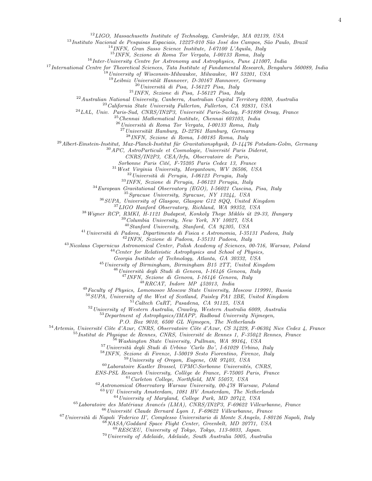LIGO, Massachusetts Institute of Technology, Cambridge, MA 02139, USA

 $^{13}$ Instituto Nacional de Pesquisas Espaciais, 12227-010 São José dos Campos, São Paulo, Brazil

INFN, Gran Sasso Science Institute, I-67100 L'Aquila, Italy

INFN, Sezione di Roma Tor Vergata, I-00133 Roma, Italy

Inter-University Centre for Astronomy and Astrophysics, Pune 411007, India

International Centre for Theoretical Sciences, Tata Institute of Fundamental Research, Bengaluru 560089, India

<sup>18</sup>University of Wisconsin-Milwaukee, Milwaukee, WI 53201, USA

Leibniz Universität Hannover, D-30167 Hannover, Germany

 $^{20}$ Università di Pisa, I-56127 Pisa, Italy

INFN, Sezione di Pisa, I-56127 Pisa, Italy

Australian National University, Canberra, Australian Capital Territory 0200, Australia

 $^{23}$ California State University Fullerton, Fullerton, CA 92831, USA

 $^{24}LAL$ , Univ. Paris-Sud, CNRS/IN2P3, Université Paris-Saclay, F-91898 Orsay, France

Chennai Mathematical Institute, Chennai 603103, India

 $^{26}$ Università di Roma Tor Vergata, I-00133 Roma, Italy

 $^{27}$ Universität Hamburg, D-22761 Hamburg, Germany

INFN, Sezione di Roma, I-00185 Roma, Italy

 $^{29}$ Albert-Einstein-Institut, Max-Planck-Institut für Gravitationsphysik, D-14476 Potsdam-Golm, Germany

 $30^3$ APC, AstroParticule et Cosmologie, Université Paris Diderot,

CNRS/IN2P3, CEA/Irfu, Observatoire de Paris,

Sorbonne Paris Cité, F-75205 Paris Cedex 13, France

 $31\,West$  Virginia University, Morgantown, WV 26506, USA

Università di Perugia, I-06123 Perugia, Italy

INFN, Sezione di Perugia, I-06123 Perugia, Italy

European Gravitational Observatory (EGO), I-56021 Cascina, Pisa, Italy

Syracuse University, Syracuse, NY 13244, USA

SUPA, University of Glasgow, Glasgow G12 8QQ, United Kingdom

LIGO Hanford Observatory, Richland, WA 99352, USA

Wigner RCP, RMKI, H-1121 Budapest, Konkoly Thege Miklós út 29-33, Hungary

Columbia University, New York, NY 10027, USA

Stanford University, Stanford, CA 94305, USA

Universit`a di Padova, Dipartimento di Fisica e Astronomia, I-35131 Padova, Italy

INFN, Sezione di Padova, I-35131 Padova, Italy

Nicolaus Copernicus Astronomical Center, Polish Academy of Sciences, 00-716, Warsaw, Poland

Center for Relativistic Astrophysics and School of Physics,

Georgia Institute of Technology, Atlanta, GA 30332, USA

University of Birmingham, Birmingham B15 2TT, United Kingdom

 $^{46}$ Università degli Studi di Genova, I-16146 Genova, Italy

INFN, Sezione di Genova, I-16146 Genova, Italy

 $^{48}RRCAT$ , Indore MP 452013, India

<sup>49</sup>Faculty of Physics, Lomonosov Moscow State University, Moscow 119991, Russia

SUPA, University of the West of Scotland, Paisley PA1 2BE, United Kingdom

Caltech CaRT, Pasadena, CA 91125, USA

University of Western Australia, Crawley, Western Australia 6009, Australia

Department of Astrophysics/IMAPP, Radboud University Nijmegen,

P.O. Box 9010, 6500 GL Nijmegen, The Netherlands

 $^{54}$ Artemis, Université Côte d'Azur, CNRS, Observatoire Côte d'Azur, CS 34229, F-06304 Nice Cedex 4, France

 $^{55}$ Institut de Physique de Rennes, CNRS, Université de Rennes 1, F-35042 Rennes, France

 $56\,W$ ashington State University, Pullman, WA 99164, USA

Università degli Studi di Urbino 'Carlo Bo', I-61029 Urbino, Italy

INFN, Sezione di Firenze, I-50019 Sesto Fiorentino, Firenze, Italy

University of Oregon, Eugene, OR 97403, USA

 $^{60}$ Laboratoire Kastler Brossel, UPMC-Sorbonne Universités, CNRS,

ENS-PSL Research University, Collège de France, F-75005 Paris, France

Carleton College, Northfield, MN 55057, USA

Astronomical Observatory Warsaw University, 00-478 Warsaw, Poland

VU University Amsterdam, 1081 HV Amsterdam, The Netherlands

University of Maryland, College Park, MD 20742, USA

 $^{65}$ Laboratoire des Matériaux Avancés (LMA), CNRS/IN2P3, F-69622 Villeurbanne, France

Université Claude Bernard Lyon 1, F-69622 Villeurbanne, France

Università di Napoli 'Federico II', Complesso Universitario di Monte S.Angelo, I-80126 Napoli, Italy

NASA/Goddard Space Flight Center, Greenbelt, MD 20771, USA

RESCEU, University of Tokyo, Tokyo, 113-0033, Japan.

University of Adelaide, Adelaide, South Australia 5005, Australia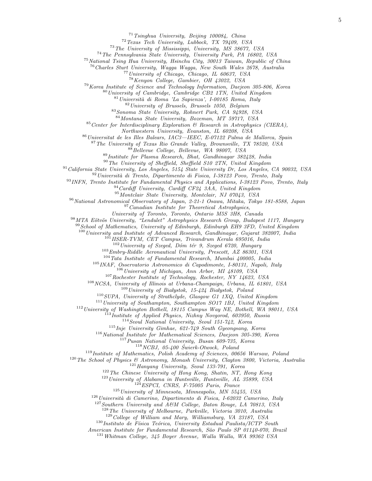Tsinghua University, Beijing 100084, China

Texas Tech University, Lubbock, TX 79409, USA

The University of Mississippi, University, MS 38677, USA

The Pennsylvania State University, University Park, PA 16802, USA

<sup>75</sup> National Tsing Hua University, Hsinchu City, 30013 Taiwan, Republic of China

Charles Sturt University, Wagga Wagga, New South Wales 2678, Australia

University of Chicago, Chicago, IL 60637, USA

Kenyon College, Gambier, OH 43022, USA

Korea Institute of Science and Technology Information, Daejeon 305-806, Korea

University of Cambridge, Cambridge CB2 1TN, United Kingdom

Università di Roma 'La Sapienza', I-00185 Roma, Italy

University of Brussels, Brussels 1050, Belgium

Sonoma State University, Rohnert Park, CA 94928, USA

Montana State University, Bozeman, MT 59717, USA

Center for Interdisciplinary Exploration  $\mathcal{B}$  Research in Astrophysics (CIERA),

Northwestern University, Evanston, IL 60208, USA

Universitat de les Illes Balears, IAC3—IEEC, E-07122 Palma de Mallorca, Spain

The University of Texas Rio Grande Valley, Brownsville, TX 78520, USA

88 Bellevue College, Bellevue, WA 98007, USA

Institute for Plasma Research, Bhat, Gandhinagar 382428, India

The University of Sheffield, Sheffield S10 2TN, United Kingdom

California State University, Los Angeles, 5154 State University Dr, Los Angeles, CA 90032, USA

Università di Trento, Dipartimento di Fisica, I-38123 Povo, Trento, Italy

INFN, Trento Institute for Fundamental Physics and Applications, I-38123 Povo, Trento, Italy

Cardiff University, Cardiff CF24 3AA, United Kingdom

Montclair State University, Montclair, NJ 07043, USA

<sup>96</sup> National Astronomical Observatory of Japan, 2-21-1 Osawa, Mitaka, Tokyo 181-8588, Japan

Canadian Institute for Theoretical Astrophysics,

University of Toronto, Toronto, Ontario M5S 3H8, Canada

<sup>98</sup> MTA Eötvös University, "Lendulet" Astrophysics Research Group, Budapest 1117, Hungary

<sup>99</sup> School of Mathematics, University of Edinburgh, Edinburgh EH9 3FD, United Kingdom

<sup>100</sup> University and Institute of Advanced Research, Gandhinagar, Gujarat 382007, India

 $^{101}$ IISER-TVM, CET Campus, Trivandrum Kerala 695016, India

University of Szeged, Dóm tér 9, Szeged 6720, Hungary

Embry-Riddle Aeronautical University, Prescott, AZ 86301, USA

Tata Institute of Fundamental Research, Mumbai 400005, India

INAF, Osservatorio Astronomico di Capodimonte, I-80131, Napoli, Italy

University of Michigan, Ann Arbor, MI 48109, USA

Rochester Institute of Technology, Rochester, NY 14623, USA

NCSA, University of Illinois at Urbana-Champaign, Urbana, IL 61801, USA

University of Białystok, 15-424 Białystok, Poland

SUPA, University of Strathclyde, Glasgow G1 1XQ, United Kingdom

University of Southampton, Southampton SO17 1BJ, United Kingdom

University of Washington Bothell, 18115 Campus Way NE, Bothell, WA 98011, USA

<sup>113</sup>Institute of Applied Physics, Nizhny Novgorod, 603950, Russia

Seoul National University, Seoul 151-742, Korea

Inje University Gimhae, 621-749 South Gyeongsang, Korea

National Institute for Mathematical Sciences, Daejeon 305-390, Korea

Pusan National University, Busan 609-735, Korea

 $^{118}NCBJ, \ 05\text{-}400 \$  Świerk-Otwock, Poland

Institute of Mathematics, Polish Academy of Sciences, 00656 Warsaw, Poland

The School of Physics & Astronomy, Monash University, Clayton 3800, Victoria, Australia

Hanyang University, Seoul 133-791, Korea

The Chinese University of Hong Kong, Shatin, NT, Hong Kong

<sup>123</sup> University of Alabama in Huntsville, Huntsville, AL 35899, USA

ESPCI, CNRS, F-75005 Paris, France

University of Minnesota, Minneapolis, MN 55455, USA

Università di Camerino, Dipartimento di Fisica, I-62032 Camerino, Italy

Southern University and A&M College, Baton Rouge, LA 70813, USA

The University of Melbourne, Parkville, Victoria 3010, Australia

College of William and Mary, Williamsburg, VA 23187, USA

Instituto de Física Teórica, University Estadual Paulista/ICTP South

American Institute for Fundamental Research, S˜ao Paulo SP 01140-070, Brazil

Whitman College, 345 Boyer Avenue, Walla Walla, WA 99362 USA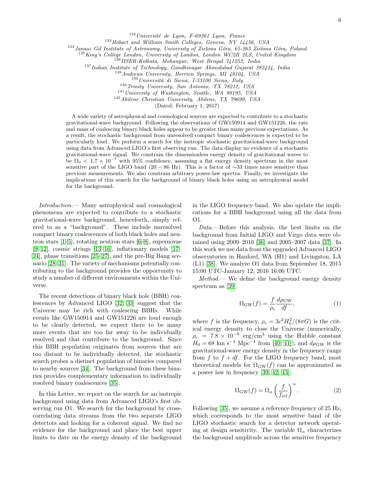$132$ Université de Lyon, F-69361 Lyon, France

<sup>133</sup> Hobart and William Smith Colleges, Geneva, NY 14456, USA

 $134$  Janusz Gil Institute of Astronomy, University of Zielona Góra, 65-265 Zielona Góra, Poland

<sup>135</sup> King's College London, University of London, London WC2R 2LS, United Kingdom

<sup>136</sup>IISER-Kolkata, Mohanpur, West Bengal 741252, India

<sup>137</sup> Indian Institute of Technology, Gandhinagar Ahmedabad Gujarat 382424, India

<sup>138</sup>Andrews University, Berrien Springs, MI 49104, USA

 $139$ Università di Siena, I-53100 Siena, Italy

 $140$  Trinity University, San Antonio, TX 78212, USA

<sup>141</sup> University of Washington, Seattle, WA 98195, USA

<sup>142</sup>Abilene Christian University, Abilene, TX 79699, USA

(Dated: February 1, 2017)

A wide variety of astrophysical and cosmological sources are expected to contribute to a stochastic gravitational-wave background. Following the observations of GW150914 and GW151226, the rate and mass of coalescing binary black holes appear to be greater than many previous expectations. As a result, the stochastic background from unresolved compact binary coalescences is expected to be particularly loud. We perform a search for the isotropic stochastic gravitational-wave background using data from Advanced LIGO's first observing run. The data display no evidence of a stochastic gravitational-wave signal. We constrain the dimensionless energy density of gravitational waves to be  $\Omega_0 < 1.7 \times 10^{-7}$  with 95% confidence, assuming a flat energy density spectrum in the most sensitive part of the LIGO band (20 − 86 Hz). This is a factor of  $\sim$ 33 times more sensitive than previous measurements. We also constrain arbitrary power-law spectra. Finally, we investigate the implications of this search for the background of binary black holes using an astrophysical model for the background.

Introduction.— Many astrophysical and cosmological phenomena are expected to contribute to a stochastic gravitational-wave background, henceforth, simply refered to as a "background". These include unresolved compact binary coalescences of both black holes and neutron stars [\[1–](#page-10-0)[5\]](#page-10-1), rotating neutron stars [\[6](#page-10-2)[–8\]](#page-10-3), supernovae  $[9-12]$  $[9-12]$ , cosmic strings  $[13-16]$  $[13-16]$ , inflationary models  $[17-$ [24\]](#page-10-9), phase transitions [\[25](#page-10-10)[–27\]](#page-10-11), and the pre-Big Bang scenario [\[28](#page-10-12)[–31\]](#page-10-13). The variety of mechanisms potentially contributing to the background provides the opportunity to study a number of different environments within the Universe.

The recent detections of binary black hole (BBH) coalescences by Advanced LIGO [\[32,](#page-10-14) [33\]](#page-10-15) suggest that the Universe may be rich with coalescing BBHs. While events like GW150914 and GW151226 are loud enough to be clearly detected, we expect there to be many more events that are too far away to be individually resolved and that contribute to the background. Since this BBH population originates from sources that are too distant to be individually detected, the stochastic search probes a distinct population of binaries compared to nearby sources [\[34\]](#page-10-16). The background from these binaries provides complementary information to individually resolved binary coalescences [\[35\]](#page-10-17).

In this Letter, we report on the search for an isotropic background using data from Advanced LIGO's first observing run O1. We search for the background by crosscorrelating data streams from the two separate LIGO detectors and looking for a coherent signal. We find no evidence for the background and place the best upper limits to date on the energy density of the background in the LIGO frequency band. We also update the implications for a BBH background using all the data from O1.

Data.—Before this analysis, the best limits on the background from Initial LIGO and Virgo data were obtained using 2009–2010 [\[36\]](#page-10-18) and 2005–2007 data [\[37\]](#page-10-19). In this work we use data from the upgraded Advanced LIGO observatories in Hanford, WA (H1) and Livingston, LA (L1) [\[38\]](#page-10-20). We analyze O1 data from September 18, 2015 15:00 UTC-January 12, 2016 16:00 UTC.

Method.— We define the background energy density spectrum as [\[39\]](#page-10-21)

$$
\Omega_{\rm GW}(f) = \frac{f}{\rho_c} \frac{d\rho_{\rm GW}}{df},\tag{1}
$$

where f is the frequency,  $\rho_c = 3c^2 H_0^2/(8\pi G)$  is the critical energy density to close the Universe (numerically,  $\rho_c = 7.8 \times 10^{-9} \text{ erg/cm}^3$  using the Hubble constant  $H_0 = 68$  km s<sup>-1</sup> Mpc<sup>-1</sup> from [\[40,](#page-10-22) [41\]](#page-10-23)), and  $d\rho_{\rm GW}$  is the gravitational-wave energy density in the frequency range from f to  $f + df$ . For the LIGO frequency band, most theoretical models for  $\Omega_{\rm GW}(f)$  can be approximated as a power law in frequency [\[39,](#page-10-21) [42,](#page-10-24) [43\]](#page-10-25):

$$
\Omega_{\rm GW}(f) = \Omega_{\alpha} \left(\frac{f}{f_{\rm ref}}\right)^{\alpha}.
$$
 (2)

Following [\[35\]](#page-10-17), we assume a reference frequency of 25 Hz, which corresponds to the most sensitive band of the LIGO stochastic search for a detector network operating at design sensitivity. The variable  $\Omega_{\alpha}$  characterizes the background amplitude across the sensitive frequency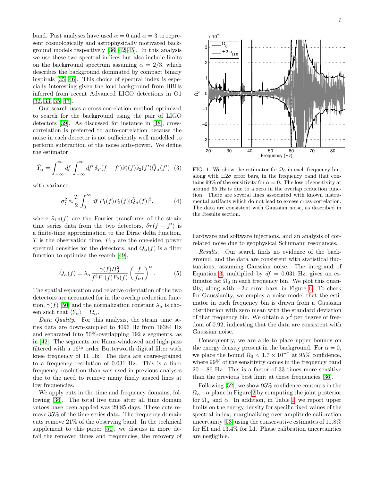band. Past analyses have used  $\alpha = 0$  and  $\alpha = 3$  to represent cosmologically and astrophysically motivated background models respectively [\[36,](#page-10-18) [42–](#page-10-24)[45\]](#page-10-26). In this analysis we use these two spectral indices but also include limits on the background spectrum assuming  $\alpha = 2/3$ , which describes the background dominated by compact binary inspirals [\[35,](#page-10-17) [46\]](#page-10-27). This choice of spectral index is especially interesting given the loud background from BBHs inferred from recent Advanced LIGO detections in O1 [\[32,](#page-10-14) [33,](#page-10-15) [35,](#page-10-17) [47\]](#page-10-28).

Our search uses a cross-correlation method optimized to search for the background using the pair of LIGO detectors [\[39\]](#page-10-21). As discussed for instance in [\[48\]](#page-10-29), crosscorrelation is preferred to auto-correlation because the noise in each detector is not sufficiently well modelled to perform subtraction of the noise auto-power. We define the estimator

<span id="page-6-0"></span>
$$
\hat{Y}_{\alpha} = \int_{-\infty}^{\infty} df \int_{-\infty}^{\infty} df' \, \delta_T (f - f') \tilde{s}_1^*(f) \tilde{s}_2(f') \tilde{Q}_{\alpha}(f') \tag{3}
$$

with variance

$$
\sigma_Y^2 \approx \frac{T}{2} \int_0^\infty df P_1(f) P_2(f) |\tilde{Q}_\alpha(f)|^2, \tag{4}
$$

where  $\tilde{s}_{1,2}(f)$  are the Fourier transforms of the strain time series data from the two detectors,  $\delta_T(f - f')$  is a finite-time approximation to the Dirac delta function, T is the observation time,  $P_{1,2}$  are the one-sided power spectral densities for the detectors, and  $\tilde{Q}_{\alpha}(f)$  is a filter function to optimize the search [\[49\]](#page-10-30),

$$
\tilde{Q}_{\alpha}(f) = \lambda_{\alpha} \frac{\gamma(f)H_0^2}{f^3 P_1(f) P_2(f)} \left(\frac{f}{f_{\text{ref}}}\right)^{\alpha}.
$$
 (5)

The spatial separation and relative orientation of the two detectors are accounted for in the overlap reduction function,  $\gamma(f)$  [\[50\]](#page-10-31) and the normalization constant  $\lambda_{\alpha}$  is chosen such that  $\langle \hat{Y}_{\alpha} \rangle = \Omega_{\alpha}$ .

Data Quality.—For this analysis, the strain time series data are down-sampled to 4096 Hz from 16384 Hz and separated into 50%-overlapping 192 s segments, as in [\[42\]](#page-10-24). The segments are Hann-windowed and high-pass filtered with a 16th order Butterworth digital filter with knee frequency of 11 Hz. The data are coarse-grained to a frequency resolution of 0.031 Hz. This is a finer frequency resolution than was used in previous analyses due to the need to remove many finely spaced lines at low frequencies.

We apply cuts in the time and frequency domains, following [\[36\]](#page-10-18). The total live time after all time domain vetoes have been applied was 29.85 days. These cuts remove 35% of the time-series data. The frequency domain cuts remove 21% of the observing band. In the technical supplement to this paper [\[51\]](#page-10-32), we discuss in more detail the removed times and frequencies, the recovery of



FIG. 1. We show the estimator for  $\Omega_0$  in each frequency bin, along with  $\pm 2\sigma$  error bars, in the frequency band that contains 99% of the sensitivity for  $\alpha = 0$ . The loss of sensitivity at around 65 Hz is due to a zero in the overlap reduction function. There are several lines associated with known instrumental artifacts which do not lead to excess cross-correlation. The data are consistent with Gaussian noise, as described in the Results section.

hardware and software injections, and an analysis of correlated noise due to geophysical Schumann resonances.

Results.—Our search finds no evidence of the background, and the data are consistent with statistical fluctuations, assuming Gaussian noise. The integrand of Equation [3,](#page-6-0) multiplied by  $df = 0.031$  Hz, gives an estimator for  $\Omega_0$  in each frequency bin. We plot this quantity, along with  $\pm 2\sigma$  error bars, in Figure [6.](#page-12-0) To check for Gaussianity, we employ a noise model that the estimator in each frequency bin is drawn from a Gaussian distribution with zero mean with the standard deviation of that frequency bin. We obtain a  $\chi^2$  per degree of freedom of 0.92, indicating that the data are consistent with Gaussian noise.

Consequently, we are able to place upper bounds on the energy density present in the background. For  $\alpha = 0$ , we place the bound  $\Omega_0 < 1.7 \times 10^{-7}$  at 95% confidence, where 99% of the sensitivity comes in the frequency band  $20 - 86$  Hz. This is a factor of 33 times more sensitive than the previous best limit at these frequencies [\[36\]](#page-10-18).

Following [\[52\]](#page-11-0), we show 95% confidence contours in the  $\Omega_{\alpha}$  –  $\alpha$  plane in Figure [2](#page-7-0) by computing the joint posterior for  $\Omega_{\alpha}$  and  $\alpha$ . In addition, in Table [I,](#page-7-1) we report upper limits on the energy density for specific fixed values of the spectral index, marginalizing over amplitude calibration uncertainty [\[53\]](#page-11-1) using the conservative estimates of 11.8% for H1 and 13.4% for L1. Phase calibration uncertainties are negligible.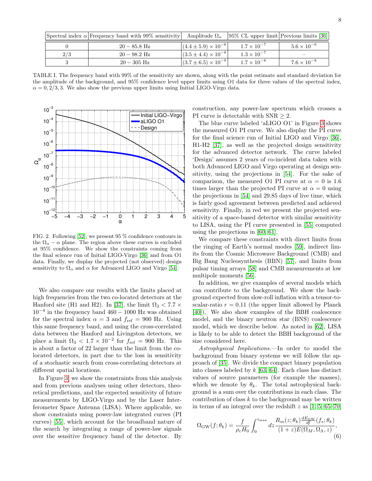| Spectral index $\alpha$ Frequency band with 99% sensitivity Amplitude $\Omega_{\alpha}$ |                                  | $ 95\% \text{ CL upper limit} $ Previous limits [36] |                      |
|-----------------------------------------------------------------------------------------|----------------------------------|------------------------------------------------------|----------------------|
| $20 - 85.8$ Hz                                                                          | $(4.4 \pm 5.9) \times 10^{-8}$   | $1.7 \times 10^{-7}$                                 | $5.6 \times 10^{-6}$ |
| $20 - 98.2$ Hz                                                                          | $ (3.5 \pm 4.4) \times 10^{-8} $ | $1.3 \times 10^{-7}$                                 |                      |
| $20 - 305$ Hz                                                                           | $ (3.7 \pm 6.5) \times 10^{-9} $ | $1.7 \times 10^{-8}$                                 | $7.6 \times 10^{-8}$ |

<span id="page-7-1"></span>TABLE I. The frequency band with 99% of the sensitivity are shown, along with the point estimate and standard deviation for the amplitude of the background, and 95% confidence level upper limits using O1 data for three values of the spectral index,  $\alpha = 0, 2/3, 3$ . We also show the previous upper limits using Initial LIGO-Virgo data.



<span id="page-7-0"></span>FIG. 2. Following [\[52\]](#page-11-0), we present 95 % confidence contours in the  $\Omega_{\alpha} - \alpha$  plane. The region above these curves is excluded at 95% confidence. We show the constraints coming from the final science run of Initial LIGO-Virgo [\[36\]](#page-10-18) and from O1 data. Finally, we display the projected (not observed) design sensitivity to  $\Omega_{\alpha}$  and  $\alpha$  for Advanced LIGO and Virgo [\[54\]](#page-11-2).

We also compare our results with the limits placed at high frequencies from the two co-located detectors at the Hanford site (H1 and H2). In [\[37\]](#page-10-19), the limit  $\Omega_3 < 7.7 \times$ 10<sup>−</sup><sup>4</sup> in the frequency band 460 − 1000 Hz was obtained for the spectral index  $\alpha = 3$  and  $f_{ref} = 900$  Hz. Using this same frequency band, and using the cross-correlated data between the Hanford and Livingston detectors, we place a limit  $\Omega_3 < 1.7 \times 10^{-2}$  for  $f_{\text{ref}} = 900$  Hz. This is about a factor of 22 larger than the limit from the colocated detectors, in part due to the loss in sensitivity of a stochastic search from cross-correlating detectors at different spatial locations.

In Figure [3,](#page-8-0) we show the constraints from this analysis and from previous analyses using other detectors, theoretical predictions, and the expected sensitivity of future measurements by LIGO-Virgo and by the Laser Interferometer Space Antenna (LISA). Where applicable, we show constraints using power-law integrated curves (PI curves) [\[55\]](#page-11-3), which account for the broadband nature of the search by integrating a range of power-law signals over the sensitive frequency band of the detector. By

construction, any power-law spectrum which crosses a PI curve is detectable with  $SNR \geq 2$ .

The blue curve labeled 'aLIGO O1' in Figure [3](#page-8-0) shows the measured O1 PI curve. We also display the PI curve for the final science run of Initial LIGO and Virgo [\[36\]](#page-10-18), H1-H2 [\[37\]](#page-10-19), as well as the projected design sensitivity for the advanced detector network. The curve labeled 'Design' assumes 2 years of co-incident data taken with both Advanced LIGO and Virgo operating at design sensitivity, using the projections in [\[54\]](#page-11-2). For the sake of comparison, the measured O1 PI curve at  $\alpha = 0$  is 1.6 times larger than the projected PI curve at  $\alpha = 0$  using the projections in [\[54\]](#page-11-2) and 29.85 days of live time, which is fairly good agreement between predicted and achieved sensitivity. Finally, in red we present the projected sensitivity of a space-based detector with similar sensitivity to LISA, using the PI curve presented in [\[55\]](#page-11-3) computed using the projections in [\[60,](#page-11-4) [61\]](#page-11-5).

We compare these constraints with direct limits from the ringing of Earth's normal modes [\[59\]](#page-11-6), indirect limits from the Cosmic Microwave Background (CMB) and Big Bang Nucleosynthesis (BBN) [\[57\]](#page-11-7), and limits from pulsar timing arrays [\[58\]](#page-11-8) and CMB measurements at low multipole moments [\[56\]](#page-11-9).

In addition, we give examples of several models which can contribute to the background. We show the background expected from slow-roll inflation with a tensor-toscalar-ratio  $r = 0.11$  (the upper limit allowed by Planck [\[40\]](#page-10-22)). We also show examples of the BBH coalescence model, and the binary neutron star (BNS) coalescence model, which we describe below. As noted in [\[62\]](#page-11-10), LISA is likely to be able to detect the BBH background of the size considered here.

Astrophysical Implications.—In order to model the background from binary systems we will follow the approach of [\[35\]](#page-10-17). We divide the compact binary population into classes labeled by  $k$  [\[63,](#page-11-11) [64\]](#page-11-12). Each class has distinct values of source parameters (for example the masses), which we denote by  $\theta_k$ . The total astrophysical background is a sum over the contributions in each class. The contribution of class  $k$  to the background may be written in terms of an integral over the redshift  $z$  as  $[1, 5, 65-70]$  $[1, 5, 65-70]$  $[1, 5, 65-70]$  $[1, 5, 65-70]$ 

$$
\Omega_{\rm GW}(f; \theta_k) = \frac{f}{\rho_c H_0} \int_0^{z_{\rm max}} dz \frac{R_m(z; \theta_k) \frac{dE_{\rm GW}}{df}(f_s; \theta_k)}{(1+z)E(\Omega_M, \Omega_\Lambda, z)},
$$
(6)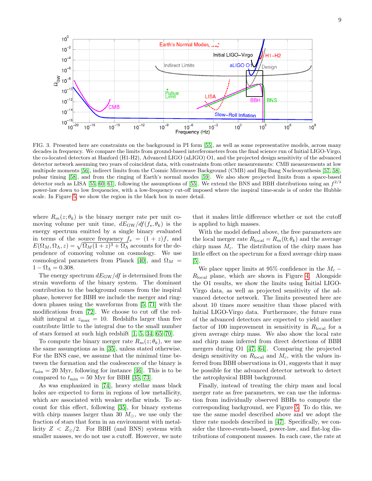

<span id="page-8-0"></span>FIG. 3. Presented here are constraints on the background in PI form [\[55\]](#page-11-3), as well as some representative models, across many decades in frequency. We compare the limits from ground-based interferometers from the final science run of Initial LIGO-Virgo, the co-located detectors at Hanford (H1-H2), Advanced LIGO (aLIGO) O1, and the projected design sensitivity of the advanced detector network assuming two years of coincident data, with constraints from other measurements: CMB measurements at low multipole moments [\[56\]](#page-11-9), indirect limits from the Cosmic Microwave Background (CMB) and Big-Bang Nucleosynthesis [\[57,](#page-11-7) [58\]](#page-11-8), pulsar timing [\[58\]](#page-11-8), and from the ringing of Earth's normal modes [\[59\]](#page-11-6). We also show projected limits from a space-based detector such as LISA [\[55,](#page-11-3) [60,](#page-11-4) [61\]](#page-11-5), following the assumptions of [\[55\]](#page-11-3). We extend the BNS and BBH distributions using an  $f^{2/3}$ power-law down to low frequencies, with a low-frequency cut-off imposed where the inspiral time-scale is of order the Hubble scale. In Figure [5,](#page-9-0) we show the region in the black box in more detail.

where  $R_m(z; \theta_k)$  is the binary merger rate per unit comoving volume per unit time,  $dE_{\rm GW}/df(f_s, \theta_k)$  is the energy spectrum emitted by a single binary evaluated in terms of the source frequency  $f_s = (1 + z)f$ , and  $E(\Omega_M, \Omega_\Lambda, z) = \sqrt{\Omega_M(1+z)^3 + \Omega_\Lambda}$  accounts for the dependence of comoving volume on cosmology. We use cosmological parameters from Planck [\[40\]](#page-10-22), and  $\Omega_M$  =  $1 - \Omega_{\Lambda} = 0.308.$ 

The energy spectrum  $dE_{\rm GW}/df$  is determined from the strain waveform of the binary system. The dominant contribution to the background comes from the inspiral phase, however for BBH we include the merger and ringdown phases using the waveforms from [\[5,](#page-10-1) [71\]](#page-11-15) with the modifications from [\[72\]](#page-11-16). We choose to cut off the redshift integral at  $z_{\text{max}} = 10$ . Redshifts larger than five contribute little to the integral due to the small number of stars formed at such high redshift [\[1,](#page-10-0) [5,](#page-10-1) [34,](#page-10-16) [65–](#page-11-13)[70\]](#page-11-14).

To compute the binary merger rate  $R_m(z; \theta_k)$ , we use the same assumptions as in [\[35\]](#page-10-17), unless stated otherwise. For the BNS case, we assume that the minimal time between the formation and the coalescence of the binary is  $t_{\text{min}} = 20$  Myr, following for instance [\[46\]](#page-10-27). This is to be compared to  $t_{\text{min}} = 50$  Myr for BBH [\[35,](#page-10-17) [73\]](#page-11-17).

As was emphasized in [\[74\]](#page-11-18), heavy stellar mass black holes are expected to form in regions of low metallicity, which are associated with weaker stellar winds. To account for this effect, following [\[35\]](#page-10-17), for binary systems with chirp masses larger than 30  $M_{\odot}$ , we use only the fraction of stars that form in an environment with metallicity  $Z < Z_{\odot}/2$ . For BBH (and BNS) systems with smaller masses, we do not use a cutoff. However, we note

that it makes little difference whether or not the cutoff is applied to high masses.

With the model defined above, the free parameters are the local merger rate  $R_{\text{local}} = R_m(0; \theta_k)$  and the average chirp mass  $M_c$ . The distribution of the chirp mass has little effect on the spectrum for a fixed average chirp mass [\[5\]](#page-10-1).

We place upper limits at 95% confidence in the  $M_c$  –  $R_{\text{local}}$  plane, which are shown in Figure [4.](#page-9-1) Alongside the O1 results, we show the limits using Initial LIGO-Virgo data, as well as projected sensitivity of the advanced detector network. The limits presented here are about 10 times more sensitive than those placed with Initial LIGO-Virgo data. Furthermore, the future runs of the advanced detectors are expected to yield another factor of 100 improvement in sensitivity in  $R_{\text{local}}$  for a given average chirp mass. We also show the local rate and chirp mass inferred from direct detections of BBH mergers during O1 [\[47,](#page-10-28) [64\]](#page-11-12). Comparing the projected design sensitivity on  $R_{\text{local}}$  and  $M_c$ , with the values inferred from BBH observations in O1, suggests that it may be possible for the advanced detector network to detect the astrophysical BBH background.

Finally, instead of treating the chirp mass and local merger rate as free parameters, we can use the information from individually observed BBHs to compute the corresponding background, see Figure [5.](#page-9-0) To do this, we use the same model described above and we adopt the three rate models described in [\[47\]](#page-10-28). Specifically, we consider the three-events-based, power-law, and flat-log distributions of component masses. In each case, the rate at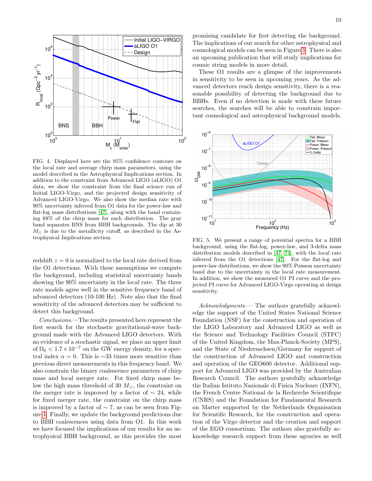

<span id="page-9-1"></span>FIG. 4. Displayed here are the 95% confidence contours on the local rate and average chirp mass parameters, using the model described in the Astrophysical Implications section. In addition to the constraint from Advanced LIGO (aLIGO) O1 data, we show the constraint from the final science run of Initial LIGO-Virgo, and the projected design sensitivity of Advanced LIGO-Virgo. We also show the median rate with 90% uncertainty inferred from O1 data for the power-law and flat-log mass distributions [\[47\]](#page-10-28), along with the band containing 68% of the chirp mass for each distribution. The gray band separates BNS from BBH backgrounds. The dip at 30  $M_{\odot}$  is due to the metallicity cutoff, as described in the Astrophysical Implications section.

redshift  $z = 0$  is normalized to the local rate derived from the O1 detections. With these assumptions we compute the background, including statistical uncertainty bands showing the 90% uncertainty in the local rate. The three rate models agree well in the sensitive frequency band of advanced detectors (10-100 Hz). Note also that the final sensitivity of the advanced detectors may be sufficient to detect this background.

Conclusions.—The results presented here represent the first search for the stochastic gravitational-wave background made with the Advanced LIGO detectors. With no evidence of a stochastic signal, we place an upper limit of  $\Omega_0 < 1.7 \times 10^{-7}$  on the GW energy density, for a spectral index  $\alpha = 0$ . This is ∼33 times more sensitive than previous direct measurements in this frequency band. We also constrain the binary coalescence parameters of chirp mass and local merger rate. For fixed chirp mass below the high mass threshold of 30  $M_{\odot}$ , the constraint on the merger rate is improved by a factor of  $\sim$  24, while for fixed merger rate, the constraint on the chirp mass is improved by a factor of  $\sim$  7, as can be seen from Figure [4.](#page-9-1) Finally, we update the background predictions due to BBH coalescences using data from O1. In this work we have focused the implications of our results for an astrophysical BBH background, as this provides the most

promising candidate for first detecting the background. The implications of our search for other astrophysical and cosmological models can be seen in Figure [3.](#page-8-0) There is also an upcoming publication that will study implications for cosmic string models in more detail.

These O1 results are a glimpse of the improvements in sensitivity to be seen in upcoming years. As the advanced detectors reach design sensitivity, there is a reasonable possibility of detecting the background due to BBHs. Even if no detection is made with these future searches, the searches will be able to constrain important cosmological and astrophysical background models.



<span id="page-9-0"></span>FIG. 5. We present a range of potential spectra for a BBH background, using the flat-log, power-law, and 3-delta mass distribution models described in [\[47,](#page-10-28) [74\]](#page-11-18), with the local rate inferred from the O1 detections [\[47\]](#page-10-28). For the flat-log and power-law distributions, we show the 90% Poisson uncertainty band due to the uncertainty in the local rate measurement. In addition, we show the measured O1 PI curve and the projected PI curve for Advanced LIGO-Virgo operating at design sensitivity.

Acknowledgments.— The authors gratefully acknowledge the support of the United States National Science Foundation (NSF) for the construction and operation of the LIGO Laboratory and Advanced LIGO as well as the Science and Technology Facilities Council (STFC) of the United Kingdom, the Max-Planck-Society (MPS), and the State of Niedersachsen/Germany for support of the construction of Advanced LIGO and construction and operation of the GEO600 detector. Additional support for Advanced LIGO was provided by the Australian Research Council. The authors gratefully acknowledge the Italian Istituto Nazionale di Fisica Nucleare (INFN), the French Centre National de la Recherche Scientifique (CNRS) and the Foundation for Fundamental Research on Matter supported by the Netherlands Organisation for Scientific Research, for the construction and operation of the Virgo detector and the creation and support of the EGO consortium. The authors also gratefully acknowledge research support from these agencies as well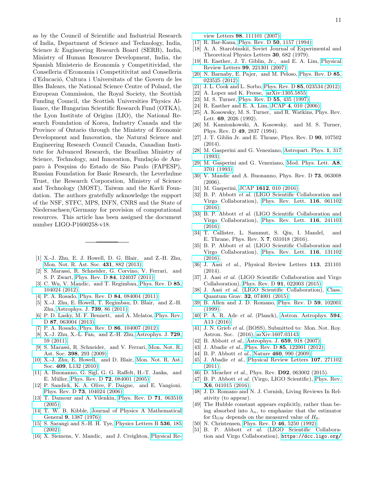as by the Council of Scientific and Industrial Research of India, Department of Science and Technology, India, Science & Engineering Research Board (SERB), India, Ministry of Human Resource Development, India, the Spanish Ministerio de Economía y Competitividad, the Conselleria d'Economia i Competitivitat and Conselleria d'Educació, Cultura i Universitats of the Govern de les Illes Balears, the National Science Centre of Poland, the European Commission, the Royal Society, the Scottish Funding Council, the Scottish Universities Physics Alliance, the Hungarian Scientific Research Fund (OTKA), the Lyon Institute of Origins (LIO), the National Research Foundation of Korea, Industry Canada and the Province of Ontario through the Ministry of Economic Development and Innovation, the Natural Science and Engineering Research Council Canada, Canadian Institute for Advanced Research, the Brazilian Ministry of Science, Technology, and Innovation, Fundação de Amparo `a Pesquisa do Estado de S˜ao Paulo (FAPESP), Russian Foundation for Basic Research, the Leverhulme Trust, the Research Corporation, Ministry of Science and Technology (MOST), Taiwan and the Kavli Foundation. The authors gratefully acknowledge the support of the NSF, STFC, MPS, INFN, CNRS and the State of Niedersachsen/Germany for provision of computational resources. This article has been assigned the document number LIGO-P1600258-v18.

- <span id="page-10-0"></span>[1] X.-J. Zhu, E. J. Howell, D. G. Blair, and Z.-H. Zhu, [Mon. Not. R. Ast. Soc.](http://dx.doi.org/10.1093/mnras/stt207) 431, 882 (2013).
- [2] S. Marassi, R. Schneider, G. Corvino, V. Ferrari, and S. P. Zwart, Phys. Rev. D 84[, 124037 \(2011\).](http://dx.doi.org/ 10.1103/PhysRevD.84.124037)
- [3] C. Wu, V. Mandic, and T. Regimbau, [Phys. Rev. D](http://dx.doi.org/10.1103/PhysRevD.85.104024) 85, [104024 \(2012\).](http://dx.doi.org/10.1103/PhysRevD.85.104024)
- [4] P. A. Rosado, Phys. Rev. D 84[, 084004 \(2011\).](http://dx.doi.org/10.1103/PhysRevD.84.084004)
- <span id="page-10-1"></span>[5] X.-J. Zhu, E. Howell, T. Regimbau, D. Blair, and Z.-H. Zhu, [Astrophys. J.](http://dx.doi.org/ 10.1088/0004-637X/739/2/86) 739, 86 (2011).
- <span id="page-10-2"></span>[6] P. D. Lasky, M. F. Bennett, and A. Melatos, [Phys. Rev.](http://dx.doi.org/10.1103/PhysRevD.87.063004) D **87**[, 063004 \(2013\).](http://dx.doi.org/10.1103/PhysRevD.87.063004)
- [7] P. A. Rosado, Phys. Rev. D 86[, 104007 \(2012\).](http://dx.doi.org/10.1103/PhysRevD.86.104007)
- <span id="page-10-3"></span>[8] X.-J. Zhu, X.-L. Fan, and Z.-H. Zhu, [Astrophys. J.](http://dx.doi.org/10.1088/0004-637X/729/1/59) 729, [59 \(2011\).](http://dx.doi.org/10.1088/0004-637X/729/1/59)
- <span id="page-10-4"></span>[9] S. Marassi, R. Schneider, and V. Ferrari, [Mon. Not. R.](http://dx.doi.org/10.1111/j.1365-2966.2009.15120.x) Ast. Soc. 398[, 293 \(2009\).](http://dx.doi.org/10.1111/j.1365-2966.2009.15120.x)
- [10] X.-J. Zhu, E. Howell, and D. Blair, [Mon. Not. R. Ast.](http://dx.doi.org/10.1111/j.1745-3933.2010.00965.x) Soc. 409[, L132 \(2010\).](http://dx.doi.org/10.1111/j.1745-3933.2010.00965.x)
- [11] A. Buonanno, G. Sigl, G. G. Raffelt, H.-T. Janka, and E. Müller, Phys. Rev. D **72**[, 084001 \(2005\).](http://dx.doi.org/ 10.1103/PhysRevD.72.084001)
- <span id="page-10-5"></span>[12] P. Sandick, K. A. Olive, F. Daigne, and E. Vangioni, Phys. Rev. D 73[, 104024 \(2006\).](http://dx.doi.org/ 10.1103/PhysRevD.73.104024)
- <span id="page-10-6"></span>[13] T. Damour and A. Vilenkin, [Phys. Rev. D](http://dx.doi.org/10.1103/PhysRevD.71.063510) 71, 063510 [\(2005\).](http://dx.doi.org/10.1103/PhysRevD.71.063510)
- [14] T. W. B. Kibble, [Journal of Physics A Mathematical](http://dx.doi.org/10.1088/0305-4470/9/8/029) General 9[, 1387 \(1976\).](http://dx.doi.org/10.1088/0305-4470/9/8/029)
- [15] S. Sarangi and S.-H. H. Tye, [Physics Letters B](http://dx.doi.org/10.1016/S0370-2693(02)01824-5) 536, 185 [\(2002\).](http://dx.doi.org/10.1016/S0370-2693(02)01824-5)
- <span id="page-10-7"></span>[16] X. Siemens, V. Mandic, and J. Creighton, [Physical Re-](http://dx.doi.org/10.1103/PhysRevLett.98.111101)

view Letters 98[, 111101 \(2007\).](http://dx.doi.org/10.1103/PhysRevLett.98.111101)

- <span id="page-10-8"></span>[17] R. Bar-Kana, [Phys. Rev. D](http://dx.doi.org/10.1103/PhysRevD.50.1157) 50, 1157 (1994).
- [18] A. A. Starobinskii, Soviet Journal of Experimental and Theoretical Physics Letters 30, 682 (1979).
- [19] R. Easther, J. T. Giblin, Jr., and E. A. Lim, [Physical](http://dx.doi.org/ 10.1103/PhysRevLett.99.221301) Review Letters 99[, 221301 \(2007\).](http://dx.doi.org/ 10.1103/PhysRevLett.99.221301)
- [20] N. Barnaby, E. Pajer, and M. Peloso, [Phys. Rev. D](http://dx.doi.org/10.1103/PhysRevD.85.023525) 85, [023525 \(2012\).](http://dx.doi.org/10.1103/PhysRevD.85.023525)
- [21] J. L. Cook and L. Sorbo, Phys. Rev. D 85[, 023534 \(2012\).](http://dx.doi.org/10.1103/PhysRevD.85.023534)
- [22] A. Lopez and K. Freese,  $arXiv:1305.5855$ .
- [23] M. S. Turner, [Phys. Rev. D](http://dx.doi.org/10.1103/PhysRevD.55.R435) **55**, 435 (1997).
- <span id="page-10-9"></span>[24] R. Easther and E. A. Lim, JCAP 4[, 010 \(2006\).](http://dx.doi.org/10.1088/1475-7516/2006/04/010)
- <span id="page-10-10"></span>[25] A. Kosowsky, M. S. Turner, and R. Watkins, Phys. Rev. Lett. 69, 2026 (1992).
- [26] M. Kamionkowski, A. Kosowsky, and M. S. Turner, Phys. Rev. D 49, 2837 (1994).
- <span id="page-10-11"></span>[27] J. T. Giblin Jr. and E. Thrane, Phys. Rev. D 90, 107502 (2014).
- <span id="page-10-12"></span>[28] M. Gasperini and G. Veneziano, [Astropart. Phys.](http://dx.doi.org/10.1016/0927-6505(93)90017-8) 1, 317 [\(1993\).](http://dx.doi.org/10.1016/0927-6505(93)90017-8)
- [29] M. Gasperini and G. Veneziano, [Mod. Phys. Lett.](http://dx.doi.org/10.1142/S0217732393003433) A8, [3701 \(1993\).](http://dx.doi.org/10.1142/S0217732393003433)
- [30] V. Mandic and A. Buonanno, Phys. Rev. D 73, 063008 (2006).
- <span id="page-10-13"></span>[31] M. Gasperini, JCAP 1612[, 010 \(2016\).](http://dx.doi.org/10.1088/1475-7516/2016/12/010)
- <span id="page-10-14"></span>[32] B. P. Abbott et al. (LIGO Scientific Collaboration and Virgo Collaboration), [Phys. Rev. Lett.](http://dx.doi.org/ 10.1103/PhysRevLett.116.061102) 116, 061102 [\(2016\).](http://dx.doi.org/ 10.1103/PhysRevLett.116.061102)
- <span id="page-10-15"></span>[33] B. P. Abbott *et al.* (LIGO Scientific Collaboration and Virgo Collaboration), [Phys. Rev. Lett.](http://dx.doi.org/ 10.1103/PhysRevLett.116.241103) 116, 241103 [\(2016\).](http://dx.doi.org/ 10.1103/PhysRevLett.116.241103)
- <span id="page-10-16"></span>[34] T. Callister, L. Sammut, S. Qiu, I. Mandel, and E. Thrane, Phys. Rev. X 7, 031018 (2016).
- <span id="page-10-17"></span>[35] B. P. Abbott et al. (LIGO Scientific Collaboration and Virgo Collaboration), [Phys. Rev. Lett.](http://dx.doi.org/ 10.1103/PhysRevLett.116.131102) 116, 131102 [\(2016\).](http://dx.doi.org/ 10.1103/PhysRevLett.116.131102)
- <span id="page-10-18"></span>[36] J. Aasi et al., Physical Review Letters 113, 231101 (2014).
- <span id="page-10-19"></span>[37] J. Aasi et al. (LIGO Scientific Collaboration and Virgo Collaboration), Phys. Rev. D 91[, 022003 \(2015\).](http://dx.doi.org/ 10.1103/PhysRevD.91.022003)
- <span id="page-10-20"></span>[38] J. Aasi et al. (LIGO Scientific Collaboration), [Class.](http://dx.doi.org/10.1088/0264-9381/32/7/074001) [Quantum Grav.](http://dx.doi.org/10.1088/0264-9381/32/7/074001) 32, 074001 (2015).
- <span id="page-10-21"></span>[39] B. Allen and J. D. Romano, [Phys. Rev. D](http://dx.doi.org/10.1103/PhysRevD.59.102001) 59, 102001 [\(1999\).](http://dx.doi.org/10.1103/PhysRevD.59.102001)
- <span id="page-10-22"></span>[40] P. A. R. Ade et al. (Planck), [Astron. Astrophys.](http://dx.doi.org/10.1051/0004-6361/201525830) 594, [A13 \(2016\).](http://dx.doi.org/10.1051/0004-6361/201525830)
- <span id="page-10-23"></span>[41] J. N. Grieb et al. (BOSS), Submitted to: Mon. Not. Roy. Astron. Soc. (2016), [arXiv:1607.03143.](http://arxiv.org/abs/1607.03143)
- <span id="page-10-24"></span>[42] B. Abbott *et al.*, [Astrophys. J.](http://dx.doi.org/10.1086/511329) **659**, 918 (2007).
- <span id="page-10-25"></span>[43] J. Abadie et al., Phys. Rev. D 85[, 122001 \(2012\).](http://dx.doi.org/10.1103/PhysRevD.85.122001)
- [44] B. P. Abbott *et al.*, Nature **460**[, 990 \(2009\).](http://dx.doi.org/10.1038/nature08278)
- <span id="page-10-26"></span>[45] J. Abadie et al., [Physical Review Letters](http://dx.doi.org/10.1103/PhysRevLett.107.271102) 107, 271102  $(2011).$
- <span id="page-10-27"></span>[46] D. Meacher *et al.*, Phys. Rev. **D92**, 063002 (2015).
- <span id="page-10-28"></span>[47] B. P. Abbott et al. (Virgo, LIGO Scientific), [Phys. Rev.](http://dx.doi.org/10.1103/PhysRevX.6.041015) X6[, 041015 \(2016\).](http://dx.doi.org/10.1103/PhysRevX.6.041015)
- <span id="page-10-29"></span>[48] J. D. Romano and N. J. Cornish, Living Reviews In Relativity (to appear).
- <span id="page-10-30"></span>[49] The Hubble constant appears explicitly, rather than being absorbed into  $\lambda_{\alpha}$ , to emphasize that the estimator for  $\Omega_{\rm GW}$  depends on the measured value of  $H_0$ .
- <span id="page-10-31"></span>[50] N. Christensen, [Phys. Rev. D](http://dx.doi.org/10.1103/PhysRevD.46.5250) 46, 5250 (1992).
- <span id="page-10-32"></span>[51] B. P. Abbott et al. (LIGO Scientific Collaboration and Virgo Collaboration), [https://dcc.ligo.org/](https://dcc.ligo.org/LIGO-P1600258)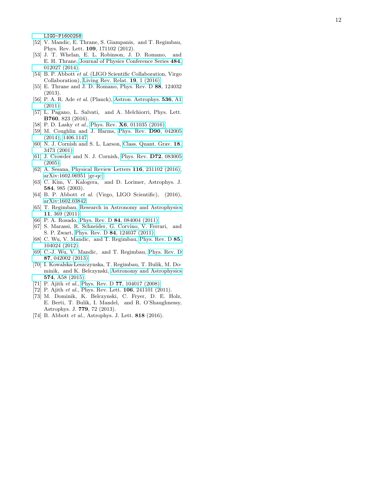[LIGO-P1600258](https://dcc.ligo.org/LIGO-P1600258) .

- <span id="page-11-0"></span>[52] V. Mandic, E. Thrane, S. Giampanis, and T. Regimbau, Phys. Rev. Lett. 109, 171102 (2012).
- <span id="page-11-1"></span>[53] J. T. Whelan, E. L. Robinson, J. D. Romano, and E. H. Thrane, [Journal of Physics Conference Series](http://dx.doi.org/10.1088/1742-6596/484/1/012027) 484 , [012027 \(2014\).](http://dx.doi.org/10.1088/1742-6596/484/1/012027)
- <span id="page-11-2"></span>[54] B. P. Abbott et al. (LIGO Scientific Collaboration, Virgo Collaboration), [Living Rev. Relat.](http://dx.doi.org/10.1007/lrr-2016-1) 19, 1 (2016).
- <span id="page-11-3"></span>[55] E. Thrane and J. D. Romano, Phys. Rev. D 88, 124032 (2013).
- <span id="page-11-9"></span>[56] P. A. R. Ade et al. (Planck), [Astron. Astrophys.](http://dx.doi.org/10.1051/0004-6361/201116464) 536, A1 [\(2011\).](http://dx.doi.org/10.1051/0004-6361/201116464)
- <span id="page-11-7"></span>[57] L. Pagano, L. Salvati, and A. Melchiorri, Phys. Lett. B760, 823 (2016).
- <span id="page-11-8"></span>[58] P. D. Lasky *et al.*, Phys. Rev. **X6**[, 011035 \(2016\).](http://dx.doi.org/10.1103/PhysRevX.6.011035)
- <span id="page-11-6"></span>[59] M. Coughlin and J. Harms, [Phys. Rev.](http://dx.doi.org/10.1103/PhysRevD.90.042005) D90, 042005 [\(2014\),](http://dx.doi.org/10.1103/PhysRevD.90.042005) [1406.1147.](http://arxiv.org/abs/1406.1147)
- <span id="page-11-4"></span>[60] N. J. Cornish and S. L. Larson, [Class. Quant. Grav.](http://dx.doi.org/10.1088/0264-9381/18/17/308) 18, [3473 \(2001\).](http://dx.doi.org/10.1088/0264-9381/18/17/308)
- <span id="page-11-5"></span>[61] J. Crowder and N. J. Cornish, [Phys. Rev.](http://dx.doi.org/10.1103/PhysRevD.72.083005) D72, 083005 [\(2005\).](http://dx.doi.org/10.1103/PhysRevD.72.083005)
- <span id="page-11-10"></span>[62] A. Sesana, [Physical Review Letters](http://dx.doi.org/10.1103/PhysRevLett.116.231102) 116, 231102 (2016), [arXiv:1602.06951 \[gr-qc\].](http://arxiv.org/abs/1602.06951)
- <span id="page-11-11"></span>[63] C. Kim, V. Kalogera, and D. Lorimer, Astrophys. J. 584, 985 (2003).
- <span id="page-11-12"></span>[64] B. P. Abbott *et al.* (Virgo, LIGO Scientific), (2016), [arXiv:1602.03842.](http://arxiv.org/abs/1602.03842)
- <span id="page-11-13"></span>[65] T. Regimbau, [Research in Astronomy and Astrophysics](http://dx.doi.org/10.1088/1674-4527/11/4/001) 11[, 369 \(2011\).](http://dx.doi.org/10.1088/1674-4527/11/4/001)
- [66] P. A. Rosado, Phys. Rev. D 84[, 084004 \(2011\).](http://dx.doi.org/10.1103/PhysRevD.84.084004)
- [67] S. Marassi, R. Schneider, G. Corvino, V. Ferrari, and S. P. Zwart, Phys. Rev. D 84[, 124037 \(2011\).](http://dx.doi.org/10.1103/PhysRevD.84.124037)
- [68] C. Wu, V. Mandic, and T. Regimbau, [Phys. Rev. D](http://dx.doi.org/10.1103/PhysRevD.85.104024) 85, [104024 \(2012\).](http://dx.doi.org/10.1103/PhysRevD.85.104024)
- [69] C.-J. Wu, V. Mandic, and T. Regimbau, [Phys. Rev. D](http://dx.doi.org/10.1103/PhysRevD.87.042002) 87[, 042002 \(2013\).](http://dx.doi.org/10.1103/PhysRevD.87.042002)
- <span id="page-11-14"></span>[70] I. Kowalska-Leszczynska, T. Regimbau, T. Bulik, M. Dominik, and K. Belczynski, [Astronomy and Astrophysics](http://dx.doi.org/10.1051/0004-6361/201424417) 574[, A58 \(2015\).](http://dx.doi.org/10.1051/0004-6361/201424417)
- <span id="page-11-15"></span>[71] P. Ajith et al., Phys. Rev. D **77**[, 104017 \(2008\).](http://dx.doi.org/10.1103/PhysRevD.77.104017)
- <span id="page-11-16"></span>[72] P. Ajith et al., Phys. Rev. Lett. **106**, 241101 (2011).
- <span id="page-11-17"></span>[73] M. Dominik, K. Belczynski, C. Fryer, D. E. Holz, E. Berti, T. Bulik, I. Mandel, and R. O'Shaughnessy, Astrophys. J. 779, 72 (2013).
- <span id="page-11-18"></span>[74] B. Abbott et al., Astrophys. J. Lett. 818 (2016).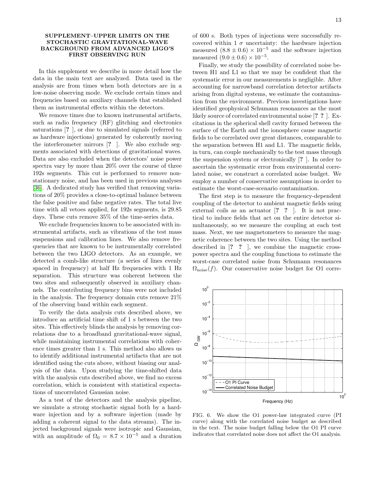## SUPPLEMENT–UPPER LIMITS ON THE STOCHASTIC GRAVITATIONAL-WAVE BACKGROUND FROM ADVANCED LIGO'S FIRST OBSERVING RUN

In this supplement we describe in more detail how the data in the main text are analyzed. Data used in the analysis are from times when both detectors are in a low-noise observing mode. We exclude certain times and frequencies based on auxiliary channels that established them as instrumental effects within the detectors.

We remove times due to known instrumental artifacts, such as radio frequency (RF) glitching and electronics saturations [? ], or due to simulated signals (referred to as hardware injections) generated by coherently moving the interferometer mirrors [? ]. We also exclude segments associated with detections of gravitational waves. Data are also excluded when the detectors' noise power spectra vary by more than 20% over the course of three 192s segments. This cut is performed to remove nonstationary noise, and has been used in previous analyses [\[36\]](#page-10-18). A dedicated study has verified that removing variations of 20% provides a close-to-optimal balance between the false positive and false negative rates. The total live time with all vetoes applied, for 192s segments, is 29.85 days. These cuts remove 35% of the time-series data.

We exclude frequencies known to be associated with instrumental artifacts, such as vibrations of the test mass suspensions and calibration lines. We also remove frequencies that are known to be instrumentally correlated between the two LIGO detectors. As an example, we detected a comb-like structure (a series of lines evenly spaced in frequency) at half Hz frequencies with 1 Hz separation. This structure was coherent between the two sites and subsequently observed in auxiliary channels. The contributing frequency bins were not included in the analysis. The frequency domain cuts remove 21% of the observing band within each segment.

To verify the data analysis cuts described above, we introduce an artificial time shift of 1 s between the two sites. This effectively blinds the analysis by removing correlations due to a broadband gravitational-wave signal, while maintaining instrumental correlations with coherence times greater than 1 s. This method also allows us to identify additional instrumental artifacts that are not identified using the cuts above, without biasing our analysis of the data. Upon studying the time-shifted data with the analysis cuts described above, we find no excess correlation, which is consistent with statistical expectations of uncorrelated Gaussian noise.

As a test of the detectors and the analysis pipeline, we simulate a strong stochastic signal both by a hardware injection and by a software injection (made by adding a coherent signal to the data streams). The injected background signals were isotropic and Gaussian, with an amplitude of  $\Omega_0 = 8.7 \times 10^{-5}$  and a duration of 600 s. Both types of injections were successfully recovered within 1  $\sigma$  uncertainty: the hardware injection measured  $(8.8 \pm 0.6) \times 10^{-5}$  and the software injection measured  $(9.0 \pm 0.6) \times 10^{-5}$ .

Finally, we study the possibility of correlated noise between H1 and L1 so that we may be confident that the systematic error in our measurements is negligible. After accounting for narrowband correlation detector artifacts arising from digital systems, we estimate the contamination from the environment. Previous investigations have identified geophysical Schumann resonances as the most likely source of correlated environmental noise [? ? ]. Excitations in the spherical shell cavity formed between the surface of the Earth and the ionosphere cause magnetic fields to be correlated over great distances, comparable to the separation between H1 and L1. The magnetic fields, in turn, can couple mechanically to the test mass through the suspension system or electronically [? ]. In order to ascertain the systematic error from environmental correlated noise, we construct a correlated noise budget. We employ a number of conservative assumptions in order to estimate the worst-case-scenario contamination.

The first step is to measure the frequency-dependent coupling of the detector to ambient magnetic fields using external coils as an actuator [? ? ]. It is not practical to induce fields that act on the entire detector simultaneously, so we measure the coupling at each test mass. Next, we use magnetometers to measure the magnetic coherence between the two sites. Using the method described in [? ? ], we combine the magnetic crosspower spectra and the coupling functions to estimate the worst-case correlated noise from Schumann resonances  $\Omega_{\text{noise}}(f)$ . Our conservative noise budget for O1 corre-



<span id="page-12-0"></span>FIG. 6. We show the O1 power-law integrated curve (PI curve) along with the correlated noise budget as described in the text. The noise budget falling below the O1 PI curve indicates that correlated noise does not affect the O1 analysis.